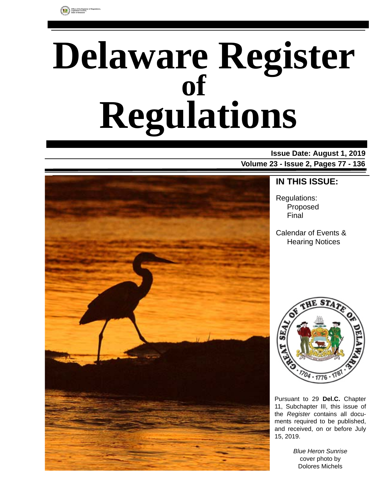

# **Delaware Register Regulations of**

### **Issue Date: August 1, 2019 Volume 23 - Issue 2, Pages 77 - 136**



### **IN THIS ISSUE:**

Regulations: Proposed Final

Calendar of Events & Hearing Notices



Pursuant to 29 **Del.C.** Chapter 11, Subchapter III, this issue of the *Register* contains all documents required to be published, and received, on or before July 15, 2019.

> *Blue Heron Sunrise* cover photo by Dolores Michels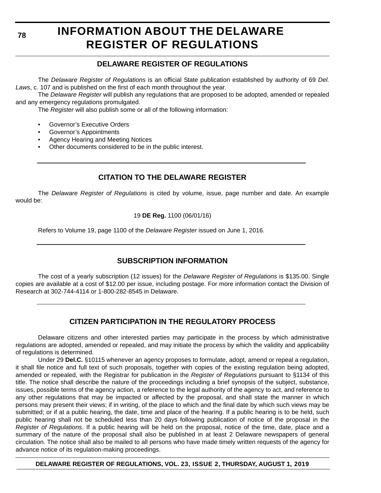#### **78**

# **INFORMATION ABOUT THE DELAWARE REGISTER OF REGULATIONS**

### **DELAWARE REGISTER OF REGULATIONS**

The *Delaware Register of Regulations* is an official State publication established by authority of 69 *Del. Laws*, c. 107 and is published on the first of each month throughout the year.

The *Delaware Register* will publish any regulations that are proposed to be adopted, amended or repealed and any emergency regulations promulgated.

The *Register* will also publish some or all of the following information:

- Governor's Executive Orders
- Governor's Appointments
- Agency Hearing and Meeting Notices
- Other documents considered to be in the public interest.

### **CITATION TO THE DELAWARE REGISTER**

The *Delaware Register of Regulations* is cited by volume, issue, page number and date. An example would be:

19 **DE Reg.** 1100 (06/01/16)

Refers to Volume 19, page 1100 of the *Delaware Register* issued on June 1, 2016.

### **SUBSCRIPTION INFORMATION**

The cost of a yearly subscription (12 issues) for the *Delaware Register of Regulations* is \$135.00. Single copies are available at a cost of \$12.00 per issue, including postage. For more information contact the Division of Research at 302-744-4114 or 1-800-282-8545 in Delaware.

### **CITIZEN PARTICIPATION IN THE REGULATORY PROCESS**

Delaware citizens and other interested parties may participate in the process by which administrative regulations are adopted, amended or repealed, and may initiate the process by which the validity and applicability of regulations is determined.

Under 29 **Del.C.** §10115 whenever an agency proposes to formulate, adopt, amend or repeal a regulation, it shall file notice and full text of such proposals, together with copies of the existing regulation being adopted, amended or repealed, with the Registrar for publication in the *Register of Regulations* pursuant to §1134 of this title. The notice shall describe the nature of the proceedings including a brief synopsis of the subject, substance, issues, possible terms of the agency action, a reference to the legal authority of the agency to act, and reference to any other regulations that may be impacted or affected by the proposal, and shall state the manner in which persons may present their views; if in writing, of the place to which and the final date by which such views may be submitted; or if at a public hearing, the date, time and place of the hearing. If a public hearing is to be held, such public hearing shall not be scheduled less than 20 days following publication of notice of the proposal in the *Register of Regulations*. If a public hearing will be held on the proposal, notice of the time, date, place and a summary of the nature of the proposal shall also be published in at least 2 Delaware newspapers of general circulation. The notice shall also be mailed to all persons who have made timely written requests of the agency for advance notice of its regulation-making proceedings.

**DELAWARE REGISTER OF REGULATIONS, VOL. 23, ISSUE 2, THURSDAY, AUGUST 1, 2019**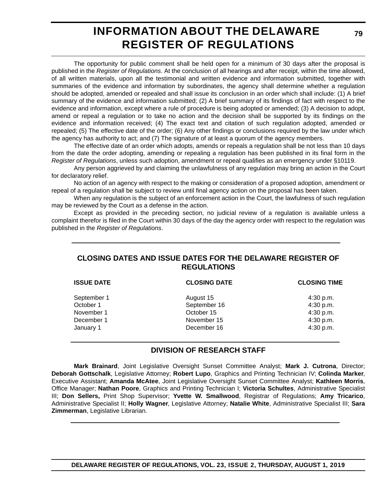# **INFORMATION ABOUT THE DELAWARE REGISTER OF REGULATIONS**

The opportunity for public comment shall be held open for a minimum of 30 days after the proposal is published in the *Register of Regulations*. At the conclusion of all hearings and after receipt, within the time allowed, of all written materials, upon all the testimonial and written evidence and information submitted, together with summaries of the evidence and information by subordinates, the agency shall determine whether a regulation should be adopted, amended or repealed and shall issue its conclusion in an order which shall include: (1) A brief summary of the evidence and information submitted; (2) A brief summary of its findings of fact with respect to the evidence and information, except where a rule of procedure is being adopted or amended; (3) A decision to adopt, amend or repeal a regulation or to take no action and the decision shall be supported by its findings on the evidence and information received; (4) The exact text and citation of such regulation adopted, amended or repealed; (5) The effective date of the order; (6) Any other findings or conclusions required by the law under which the agency has authority to act; and (7) The signature of at least a quorum of the agency members.

The effective date of an order which adopts, amends or repeals a regulation shall be not less than 10 days from the date the order adopting, amending or repealing a regulation has been published in its final form in the *Register of Regulations*, unless such adoption, amendment or repeal qualifies as an emergency under §10119.

Any person aggrieved by and claiming the unlawfulness of any regulation may bring an action in the Court for declaratory relief.

No action of an agency with respect to the making or consideration of a proposed adoption, amendment or repeal of a regulation shall be subject to review until final agency action on the proposal has been taken.

When any regulation is the subject of an enforcement action in the Court, the lawfulness of such regulation may be reviewed by the Court as a defense in the action.

Except as provided in the preceding section, no judicial review of a regulation is available unless a complaint therefor is filed in the Court within 30 days of the day the agency order with respect to the regulation was published in the *Register of Regulations*.

### **CLOSING DATES AND ISSUE DATES FOR THE DELAWARE REGISTER OF REGULATIONS**

| <b>ISSUE DATE</b> | <b>CLOSING DATE</b> | <b>CLOSING TIME</b> |  |
|-------------------|---------------------|---------------------|--|
| September 1       | August 15           | 4:30 p.m.           |  |
| October 1         | September 16        | 4:30 p.m.           |  |
| November 1        | October 15          | 4:30 p.m.           |  |
| December 1        | November 15         | 4:30 p.m.           |  |
| January 1         | December 16         | 4:30 p.m.           |  |

### **DIVISION OF RESEARCH STAFF**

**Mark Brainard**, Joint Legislative Oversight Sunset Committee Analyst; **Mark J. Cutrona**, Director; **Deborah Gottschalk**, Legislative Attorney; **Robert Lupo**, Graphics and Printing Technician IV; **Colinda Marker**, Executive Assistant; **Amanda McAtee**, Joint Legislative Oversight Sunset Committee Analyst; **Kathleen Morris**, Office Manager; **Nathan Poore**, Graphics and Printing Technician I; **Victoria Schultes**, Administrative Specialist III; **Don Sellers,** Print Shop Supervisor; **Yvette W. Smallwood**, Registrar of Regulations; **Amy Tricarico**, Administrative Specialist II; **Holly Wagner**, Legislative Attorney; **Natalie White**, Administrative Specialist III; **Sara Zimmerman**, Legislative Librarian.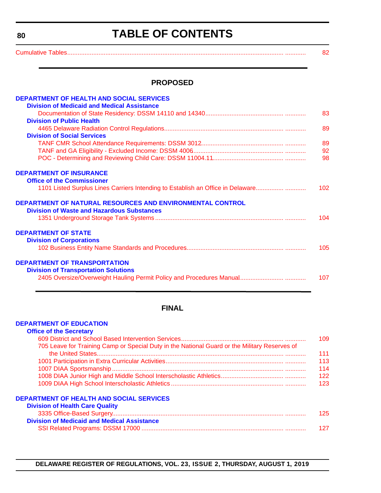**TABLE OF CONTENTS**

<span id="page-3-0"></span>[Cumulative Tables............................................................................................................................. ............ 82](#page-5-0)

#### **PROPOSED**

| <b>DEPARTMENT OF HEALTH AND SOCIAL SERVICES</b><br><b>Division of Medicaid and Medical Assistance</b> |     |
|-------------------------------------------------------------------------------------------------------|-----|
|                                                                                                       | 83  |
| <b>Division of Public Health</b>                                                                      |     |
|                                                                                                       | 89  |
| <b>Division of Social Services</b>                                                                    |     |
|                                                                                                       | 89  |
|                                                                                                       | 92  |
|                                                                                                       | 98  |
| <b>DEPARTMENT OF INSURANCE</b>                                                                        |     |
| <b>Office of the Commissioner</b>                                                                     |     |
| 1101 Listed Surplus Lines Carriers Intending to Establish an Office in Delaware                       | 102 |
| DEPARTMENT OF NATURAL RESOURCES AND ENVIRONMENTAL CONTROL                                             |     |
| <b>Division of Waste and Hazardous Substances</b>                                                     |     |
|                                                                                                       | 104 |
| <b>DEPARTMENT OF STATE</b>                                                                            |     |
| <b>Division of Corporations</b>                                                                       |     |
|                                                                                                       | 105 |
| <b>DEPARTMENT OF TRANSPORTATION</b>                                                                   |     |
| <b>Division of Transportation Solutions</b>                                                           |     |
|                                                                                                       | 107 |
|                                                                                                       |     |

### **FINAL**

#### **[DEPARTMENT OF EDUCATION](https://www.doe.k12.de.us/)**

| <b>Office of the Secretary</b>                                                                |     |
|-----------------------------------------------------------------------------------------------|-----|
|                                                                                               | 109 |
| 705 Leave for Training Camp or Special Duty in the National Guard or the Military Reserves of |     |
|                                                                                               | 111 |
|                                                                                               | 113 |
|                                                                                               | 114 |
|                                                                                               | 122 |
|                                                                                               | 123 |
| <b>DEPARTMENT OF HEALTH AND SOCIAL SERVICES</b>                                               |     |
| <b>Division of Health Care Quality</b>                                                        |     |
|                                                                                               | 125 |
|                                                                                               |     |

| <b>Division of Medicaid and Medical Assistance</b> |  |
|----------------------------------------------------|--|
|                                                    |  |

**DELAWARE REGISTER OF REGULATIONS, VOL. 23, ISSUE 2, THURSDAY, AUGUST 1, 2019**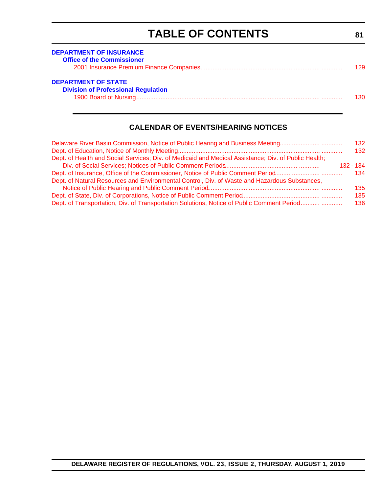# **TABLE OF CONTENTS**

**81**

<span id="page-4-0"></span>

| <b>DEPARTMENT OF INSURANCE</b><br><b>Office of the Commissioner</b>      | 129  |
|--------------------------------------------------------------------------|------|
| <b>DEPARTMENT OF STATE</b><br><b>Division of Professional Regulation</b> | 130. |

### **CALENDAR OF EVENTS/HEARING NOTICES**

| Delaware River Basin Commission, Notice of Public Hearing and Business Meeting                       | 132         |
|------------------------------------------------------------------------------------------------------|-------------|
|                                                                                                      | 132         |
| Dept. of Health and Social Services; Div. of Medicaid and Medical Assistance; Div. of Public Health; |             |
|                                                                                                      | $132 - 134$ |
| Dept. of Insurance, Office of the Commissioner, Notice of Public Comment Period                      | 134         |
| Dept. of Natural Resources and Environmental Control, Div. of Waste and Hazardous Substances,        |             |
|                                                                                                      | 135         |
|                                                                                                      | 135         |
| Dept. of Transportation, Div. of Transportation Solutions, Notice of Public Comment Period           | 136         |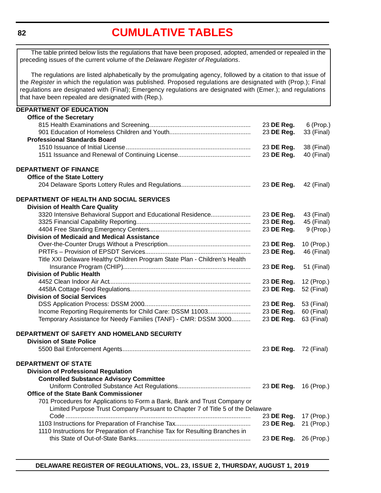# **[CUMULATIVE TABLES](#page-3-0)**

<span id="page-5-0"></span>The table printed below lists the regulations that have been proposed, adopted, amended or repealed in the preceding issues of the current volume of the *Delaware Register of Regulations*.

The regulations are listed alphabetically by the promulgating agency, followed by a citation to that issue of the *Register* in which the regulation was published. Proposed regulations are designated with (Prop.); Final regulations are designated with (Final); Emergency regulations are designated with (Emer.); and regulations that have been repealed are designated with (Rep.).

| <b>DEPARTMENT OF EDUCATION</b>                                                 |                       |             |
|--------------------------------------------------------------------------------|-----------------------|-------------|
| <b>Office of the Secretary</b>                                                 |                       |             |
|                                                                                | 23 DE Reg.            | 6 (Prop.)   |
|                                                                                | 23 DE Reg.            | 33 (Final)  |
| <b>Professional Standards Board</b>                                            |                       |             |
|                                                                                | 23 DE Reg.            | 38 (Final)  |
|                                                                                | 23 DE Reg.            | 40 (Final)  |
| <b>DEPARTMENT OF FINANCE</b>                                                   |                       |             |
| <b>Office of the State Lottery</b>                                             |                       |             |
|                                                                                | 23 DE Reg.            | 42 (Final)  |
| DEPARTMENT OF HEALTH AND SOCIAL SERVICES                                       |                       |             |
| <b>Division of Health Care Quality</b>                                         |                       |             |
| 3320 Intensive Behavioral Support and Educational Residence                    | 23 DE Reg.            | 43 (Final)  |
|                                                                                | 23 DE Reg.            | 45 (Final)  |
|                                                                                | 23 DE Reg.            | $9$ (Prop.) |
| <b>Division of Medicaid and Medical Assistance</b>                             |                       |             |
|                                                                                | 23 DE Reg.            | 10 (Prop.)  |
|                                                                                | 23 DE Reg.            | 46 (Final)  |
| Title XXI Delaware Healthy Children Program State Plan - Children's Health     |                       |             |
|                                                                                | 23 DE Reg.            | 51 (Final)  |
| <b>Division of Public Health</b>                                               |                       |             |
|                                                                                | 23 DE Reg.            | 12 (Prop.)  |
|                                                                                | 23 DE Reg.            | 52 (Final)  |
| <b>Division of Social Services</b>                                             |                       |             |
|                                                                                | 23 DE Reg.            | 53 (Final)  |
| Income Reporting Requirements for Child Care: DSSM 11003                       | 23 DE Reg.            | 60 (Final)  |
| Temporary Assistance for Needy Families (TANF) - CMR: DSSM 3000                | 23 DE Reg.            | 63 (Final)  |
| DEPARTMENT OF SAFETY AND HOMELAND SECURITY                                     |                       |             |
| <b>Division of State Police</b>                                                |                       |             |
|                                                                                | 23 DE Reg.            | 72 (Final)  |
| <b>DEPARTMENT OF STATE</b>                                                     |                       |             |
| <b>Division of Professional Regulation</b>                                     |                       |             |
| <b>Controlled Substance Advisory Committee</b>                                 |                       |             |
|                                                                                | 23 DE Reg. 16 (Prop.) |             |
| <b>Office of the State Bank Commissioner</b>                                   |                       |             |
| 701 Procedures for Applications to Form a Bank, Bank and Trust Company or      |                       |             |
| Limited Purpose Trust Company Pursuant to Chapter 7 of Title 5 of the Delaware |                       |             |
|                                                                                | 23 DE Reg.            | 17 (Prop.)  |
|                                                                                | 23 DE Reg.            | 21 (Prop.)  |
| 1110 Instructions for Preparation of Franchise Tax for Resulting Branches in   |                       |             |
|                                                                                | 23 DE Reg.            | 26 (Prop.)  |
|                                                                                |                       |             |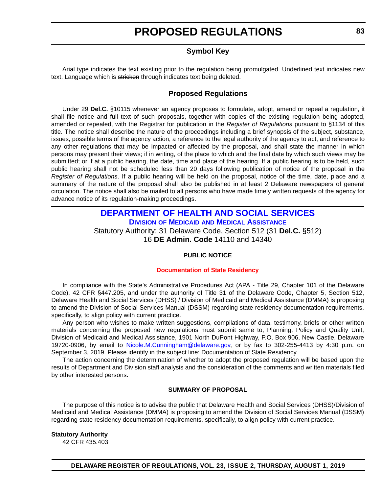### **Symbol Key**

<span id="page-6-0"></span>Arial type indicates the text existing prior to the regulation being promulgated. Underlined text indicates new text. Language which is stricken through indicates text being deleted.

#### **Proposed Regulations**

Under 29 **Del.C.** §10115 whenever an agency proposes to formulate, adopt, amend or repeal a regulation, it shall file notice and full text of such proposals, together with copies of the existing regulation being adopted, amended or repealed, with the Registrar for publication in the *Register of Regulations* pursuant to §1134 of this title. The notice shall describe the nature of the proceedings including a brief synopsis of the subject, substance, issues, possible terms of the agency action, a reference to the legal authority of the agency to act, and reference to any other regulations that may be impacted or affected by the proposal, and shall state the manner in which persons may present their views; if in writing, of the place to which and the final date by which such views may be submitted; or if at a public hearing, the date, time and place of the hearing. If a public hearing is to be held, such public hearing shall not be scheduled less than 20 days following publication of notice of the proposal in the *Register of Regulations*. If a public hearing will be held on the proposal, notice of the time, date, place and a summary of the nature of the proposal shall also be published in at least 2 Delaware newspapers of general circulation. The notice shall also be mailed to all persons who have made timely written requests of the agency for advance notice of its regulation-making proceedings.

### **[DEPARTMENT OF HEALTH AND SOCIAL SERVICES](https://www.dhss.delaware.gov/dhss/index.html) DIVISION OF MEDICAID [AND MEDICAL ASSISTANCE](https://www.dhss.delaware.gov/dhss/dmma/)** Statutory Authority: 31 Delaware Code, Section 512 (31 **Del.C.** §512) 16 **DE Admin. Code** 14110 and 14340

#### **PUBLIC NOTICE**

#### **[Documentation of State Residency](#page-3-0)**

In compliance with the State's Administrative Procedures Act (APA - Title 29, Chapter 101 of the Delaware Code), 42 CFR §447.205, and under the authority of Title 31 of the Delaware Code, Chapter 5, Section 512, Delaware Health and Social Services (DHSS) / Division of Medicaid and Medical Assistance (DMMA) is proposing to amend the Division of Social Services Manual (DSSM) regarding state residency documentation requirements, specifically, to align policy with current practice.

Any person who wishes to make written suggestions, compilations of data, testimony, briefs or other written materials concerning the proposed new regulations must submit same to, Planning, Policy and Quality Unit, Division of Medicaid and Medical Assistance, 1901 North DuPont Highway, P.O. Box 906, New Castle, Delaware 19720-0906, by email to [Nicole.M.Cunningham@delaware.gov,](mailto:Nicole.M.Cunningham@delaware.gov) or by fax to 302-255-4413 by 4:30 p.m. on September 3, 2019. Please identify in the subject line: Documentation of State Residency.

The action concerning the determination of whether to adopt the proposed regulation will be based upon the results of Department and Division staff analysis and the consideration of the comments and written materials filed by other interested persons.

#### **SUMMARY OF PROPOSAL**

The purpose of this notice is to advise the public that Delaware Health and Social Services (DHSS)/Division of Medicaid and Medical Assistance (DMMA) is proposing to amend the Division of Social Services Manual (DSSM) regarding state residency documentation requirements, specifically, to align policy with current practice.

#### **Statutory Authority**

42 CFR 435.403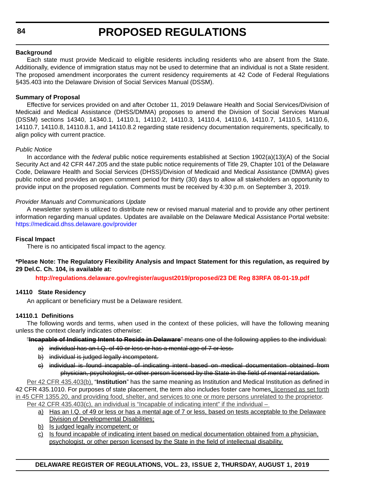#### **Background**

Each state must provide Medicaid to eligible residents including residents who are absent from the State. Additionally, evidence of immigration status may not be used to determine that an individual is not a State resident. The proposed amendment incorporates the current residency requirements at 42 Code of Federal Regulations §435.403 into the Delaware Division of Social Services Manual (DSSM).

#### **Summary of Proposal**

Effective for services provided on and after October 11, 2019 Delaware Health and Social Services/Division of Medicaid and Medical Assistance (DHSS/DMMA) proposes to amend the Division of Social Services Manual (DSSM) sections 14340, 14340.1, 14110.1, 14110.2, 14110.3, 14110.4, 14110.6, 14110.7, 14110.5, 14110.6, 14110.7, 14110.8, 14110.8.1, and 14110.8.2 regarding state residency documentation requirements, specifically, to align policy with current practice.

#### *Public Notice*

In accordance with the *federal* public notice requirements established at Section 1902(a)(13)(A) of the Social Security Act and 42 CFR 447.205 and the state public notice requirements of Title 29, Chapter 101 of the Delaware Code, Delaware Health and Social Services (DHSS)/Division of Medicaid and Medical Assistance (DMMA) gives public notice and provides an open comment period for thirty (30) days to allow all stakeholders an opportunity to provide input on the proposed regulation. Comments must be received by 4:30 p.m. on September 3, 2019.

#### *Provider Manuals and Communications Update*

A newsletter system is utilized to distribute new or revised manual material and to provide any other pertinent information regarding manual updates. Updates are available on the Delaware Medical Assistance Portal website: <https://medicaid.dhss.delaware.gov/provider>

#### **Fiscal Impact**

There is no anticipated fiscal impact to the agency.

#### **\*Please Note: The Regulatory Flexibility Analysis and Impact Statement for this regulation, as required by 29 Del.C. Ch. 104, is available at:**

**<http://regulations.delaware.gov/register/august2019/proposed/23 DE Reg 83RFA 08-01-19.pdf>**

#### **14110 State Residency**

An applicant or beneficiary must be a Delaware resident.

#### **14110.1 Definitions**

The following words and terms, when used in the context of these policies, will have the following meaning unless the context clearly indicates otherwise:

"**Incapable of Indicating Intent to Reside in Delaware**" means one of the following applies to the individual:

- a) individual has an I.Q. of 49 or less or has a mental age of 7 or less.
- b) individual is judged legally incompetent.
- c) individual is found incapable of indicating intent based on medical documentation obtained from physician, psychologist, or other person licensed by the State in the field of mental retardation.

Per 42 CFR 435.403(b), "**Institution**" has the same meaning as Institution and Medical Institution as defined in 42 CFR 435.1010. For purposes of state placement, the term also includes foster care homes, licensed as set forth in 45 CFR 1355.20, and providing food, shelter, and services to one or more persons unrelated to the proprietor. Per 42 CFR 435.403(c), an individual is "Incapable of indicating intent" if the individual –

- a) Has an I.Q. of 49 or less or has a mental age of 7 or less, based on tests acceptable to the Delaware Division of Developmental Disabilities;
- b) Is judged legally incompetent; or
- c) Is found incapable of indicating intent based on medical documentation obtained from a physician, psychologist, or other person licensed by the State in the field of intellectual disability.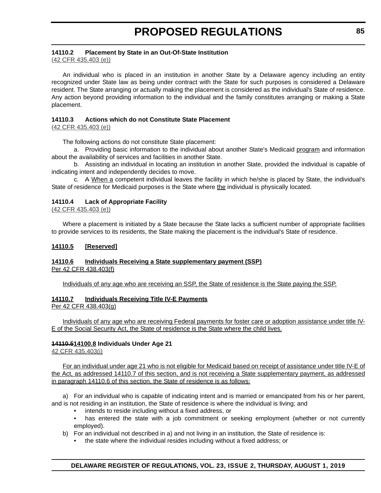#### **14110.2 Placement by State in an Out-Of-State Institution**

(42 CFR 435.403 (e))

An individual who is placed in an institution in another State by a Delaware agency including an entity recognized under State law as being under contract with the State for such purposes is considered a Delaware resident. The State arranging or actually making the placement is considered as the individual's State of residence. Any action beyond providing information to the individual and the family constitutes arranging or making a State placement.

#### **14110.3 Actions which do not Constitute State Placement**

(42 CFR 435.403 (e))

The following actions do not constitute State placement:

a. Providing basic information to the individual about another State's Medicaid program and information about the availability of services and facilities in another State.

b. Assisting an individual in locating an institution in another State, provided the individual is capable of indicating intent and independently decides to move.

c. A When a competent individual leaves the facility in which he/she is placed by State, the individual's State of residence for Medicaid purposes is the State where the individual is physically located.

#### **14110.4 Lack of Appropriate Facility**

(42 CFR 435.403 (e))

Where a placement is initiated by a State because the State lacks a sufficient number of appropriate facilities to provide services to its residents, the State making the placement is the individual's State of residence.

#### **14110.5 [Reserved]**

#### **14110.6 Individuals Receiving a State supplementary payment (SSP)** Per 42 CFR 438.403(f)

Individuals of any age who are receiving an SSP, the State of residence is the State paying the SSP.

#### **14110.7 Individuals Receiving Title IV-E Payments**

#### Per 42 CFR 438.403(g)

Individuals of any age who are receiving Federal payments for foster care or adoption assistance under title IV-E of the Social Security Act, the State of residence is the State where the child lives.

#### **14110.514100.8 Individuals Under Age 21**

42 CFR 435.403(i)

For an individual under age 21 who is not eligible for Medicaid based on receipt of assistance under title IV-E of the Act, as addressed 14110.7 of this section, and is not receiving a State supplementary payment, as addressed in paragraph 14110.6 of this section, the State of residence is as follows:

a) For an individual who is capable of indicating intent and is married or emancipated from his or her parent, and is not residing in an institution, the State of residence is where the individual is living; and

- intends to reside including without a fixed address, or
- has entered the state with a job commitment or seeking employment (whether or not currently employed).
- b) For an individual not described in a) and not living in an institution, the State of residence is:
	- the state where the individual resides including without a fixed address; or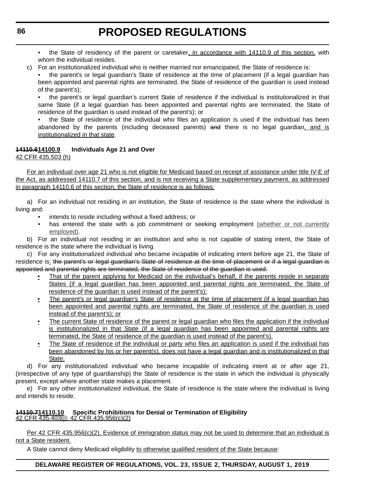- the State of residency of the parent or caretaker, in accordance with 14110.9 of this section, with whom the individual resides.
- c) For an institutionalized individual who is neither married nor emancipated, the State of residence is:
	- the parent's or legal guardian's State of residence at the time of placement (if a legal guardian has been appointed and parental rights are terminated, the State of residence of the guardian is used instead of the parent's);

• the parent's or legal guardian's current State of residence if the individual is institutionalized in that same State (if a legal guardian has been appointed and parental rights are terminated, the State of residence of the guardian is used instead of the parent's); or

• the State of residence of the individual who files an application is used if the individual has been abandoned by the parents (including deceased parents) and there is no legal guardian, and is institutionalized in that state.

### **14110.614100.9 Individuals Age 21 and Over**

42 CFR 435.503 (h)

For an individual over age 21 who is not eligible for Medicaid based on receipt of assistance under title IV-E of the Act, as addressed 14110.7 of this section, and is not receiving a State supplementary payment, as addressed in paragraph 14110.6 of this section, the State of residence is as follows:

a) For an individual not residing in an institution, the State of residence is the state where the individual is living and:

- intends to reside including without a fixed address; or
- has entered the state with a job commitment or seeking employment (whether or not currently employed).

b) For an individual not residing in an institution and who is not capable of stating intent, the State of residence is the state where the individual is living.

c) For any institutionalized individual who became incapable of indicating intent before age 21, the State of residence is: the parent's or legal guardian's State of residence at the time of placement or if a legal guardian is appointed and parental rights are terminated, the State of residence of the guardian is used.

- That of the parent applying for Medicaid on the individual's behalf, if the parents reside in separate States (if a legal guardian has been appointed and parental rights are terminated, the State of residence of the guardian is used instead of the parent's);
- The parent's or legal guardian's State of residence at the time of placement (if a legal guardian has been appointed and parental rights are terminated, the State of residence of the guardian is used instead of the parent's); or
- The current State of residence of the parent or legal guardian who files the application if the individual is institutionalized in that State (if a legal guardian has been appointed and parental rights are terminated, the State of residence of the guardian is used instead of the parent's).
- The State of residence of the individual or party who files an application is used if the individual has been abandoned by his or her parent(s), does not have a legal guardian and is institutionalized in that State.

d) For any institutionalized individual who became incapable of indicating intent at or after age 21, (irrespective of any type of guardianship) the State of residence is the state in which the individual is physically present, except where another state makes a placement.

e) For any other institutionalized individual, the State of residence is the state where the individual is living and intends to reside.

# **14110.714110.10 Specific Prohibitions for Denial or Termination of Eligibility** 42 CFR 435.403(j); 42 CFR 435.956(c)(2)

Per 42 CFR 435.956(c)(2), Evidence of immigration status may not be used to determine that an individual is not a State resident.

A State cannot deny Medicaid eligibility to otherwise qualified resident of the State because: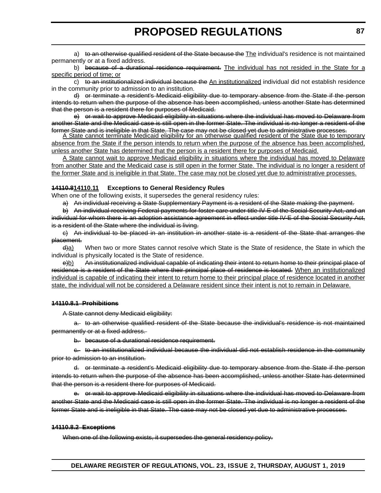a) to an otherwise qualified resident of the State because the The individual's residence is not maintained permanently or at a fixed address.

b) because of a durational residence requirement. The individual has not resided in the State for a specific period of time; or

c) to an institutionalized individual because the An institutionalized individual did not establish residence in the community prior to admission to an institution.

d) or terminate a resident's Medicaid eligibility due to temporary absence from the State if the person intends to return when the purpose of the absence has been accomplished, unless another State has determined that the person is a resident there for purposes of Medicaid.

e) or wait to approve Medicaid eligibility in situations where the individual has moved to Delaware from another State and the Medicaid case is still open in the former State. The individual is no longer a resident of the<br>former State and is ineligible in that State. The case may not be closed yet due to administrative proces

A State cannot terminate Medicaid eligibility for an otherwise qualified resident of the State due to temporary absence from the State if the person intends to return when the purpose of the absence has been accomplished, unless another State has determined that the person is a resident there for purposes of Medicaid.

A State cannot wait to approve Medicaid eligibility in situations where the individual has moved to Delaware from another State and the Medicaid case is still open in the former State. The individual is no longer a resident of the former State and is ineligible in that State. The case may not be closed yet due to administrative processes.

#### **14110.814110.11 Exceptions to General Residency Rules**

When one of the following exists, it supersedes the general residency rules:

a) An individual receiving a State Supplementary Payment is a resident of the State making the payment.

b) An individual receiving Federal payments for foster care under title IV-E of the Social Security Act, and an individual for whom there is an adoption assistance agreement in effect under title IV-E of the Social Security Act, is a resident of the State where the individual is living.

c) An individual to be placed in an institution in another state is a resident of the State that arranges the placement.

 $\frac{d}{a}$  When two or more States cannot resolve which State is the State of residence, the State in which the individual is physically located is the State of residence.

e)b) An institutionalized individual capable of indicating their intent to return home to their principal place of residence is a resident of the State where their principal place of residence is located. When an institutionalized individual is capable of indicating their intent to return home to their principal place of residence located in another state, the individual will not be considered a Delaware resident since their intent is not to remain in Delaware.

#### **14110.8.1 Prohibitions**

A State cannot deny Medicaid eligibility:

a. to an otherwise qualified resident of the State because the individual's residence is not maintained permanently or at a fixed address.

b. because of a durational residence requirement.

c. to an institutionalized individual because the individual did not establish residence in the community prior to admission to an institution.

d. or terminate a resident's Medicaid eligibility due to temporary absence from the State if the person intends to return when the purpose of the absence has been accomplished, unless another State has determined that the person is a resident there for purposes of Medicaid.

e. or wait to approve Medicaid eligibility in situations where the individual has moved to Delaware from another State and the Medicaid case is still open in the former State. The individual is no longer a resident of the former State and is ineligible in that State. The case may not be closed yet due to administrative processes.

#### **14110.8.2 Exceptions**

When one of the following exists, it supersedes the general residency policy.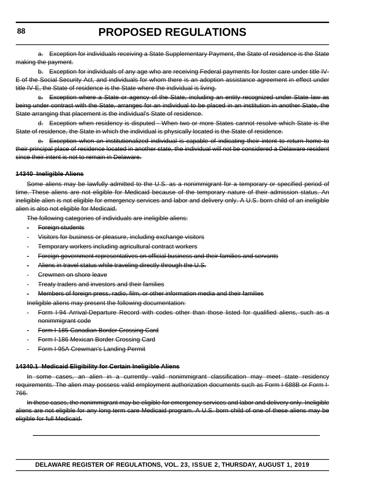a. Exception for individuals receiving a State Supplementary Payment, the State of residence is the State making the payment.

b. Exception for individuals of any age who are receiving Federal payments for foster care under title IV-E of the Social Security Act, and individuals for whom there is an adoption assistance agreement in effect under title IV-E, the State of residence is the State where the individual is living.

c. Exception where a State or agency of the State, including an entity recognized under State law as being under contract with the State, arranges for an individual to be placed in an institution in another State, the State arranging that placement is the individual's State of residence.

d. Exception when residency is disputed - When two or more States cannot resolve which State is the State of residence, the State in which the individual is physically located is the State of residence.

e. Exception when an institutionalized individual is capable of indicating their intent to return home to their principal place of residence located in another state, the individual will not be considered a Delaware resident since their intent is not to remain in Delaware.

#### **14340 Ineligible Aliens**

Some aliens may be lawfully admitted to the U.S. as a nonimmigrant for a temporary or specified period of time. These aliens are not eligible for Medicaid because of the temporary nature of their admission status. An ineligible alien is not eligible for emergency services and labor and delivery only. A U.S. born child of an ineligible alien is also not eligible for Medicaid.

The following categories of individuals are ineligible aliens:

- · Foreign students
- · Visitors for business or pleasure, including exchange visitors
- · Temporary workers including agricultural contract workers
- · Foreign government representatives on official business and their families and servants
- Aliens in travel status while traveling directly through the U.S.
- · Crewmen on shore leave
- **Treaty traders and investors and their families**
- · Members of foreign press, radio, film, or other information media and their families

Ineligible aliens may present the following documentation:

- Form I-94 Arrival-Departure Record with codes other than those listed for qualified aliens, such as a nonimmigrant code
- Form I-185 Canadian Border Crossing Card
- Form I-186 Mexican Border Crossing Card
- Form I-95A Crewman's Landing Permit

#### **14340.1 Medicaid Eligibility for Certain Ineligible Aliens**

In some cases, an alien in a currently valid nonimmigrant classification may meet state residency requirements. The alien may possess valid employment authorization documents such as Form I-688B or Form I-766.

In these cases, the nonimmigrant may be eligible for emergency services and labor and delivery only. Ineligible aliens are not eligible for any long term care Medicaid program. A U.S. born child of one of these aliens may be eligible for full Medicaid.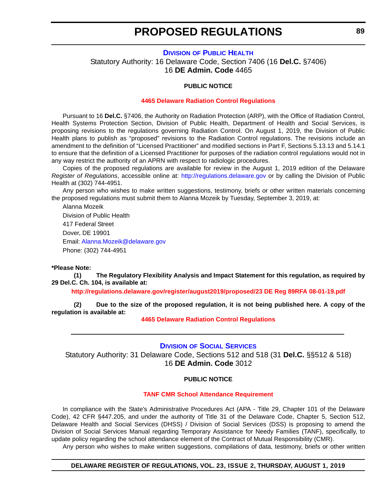#### **DIVISION [OF PUBLIC HEALTH](https://www.dhss.delaware.gov/dhss/dph/index.html)**

<span id="page-12-0"></span>Statutory Authority: 16 Delaware Code, Section 7406 (16 **Del.C.** §7406) 16 **DE Admin. Code** 4465

#### **PUBLIC NOTICE**

#### **[4465 Delaware Radiation Control Regulations](#page-3-0)**

Pursuant to 16 **Del.C.** §7406, the Authority on Radiation Protection (ARP), with the Office of Radiation Control, Health Systems Protection Section, Division of Public Health, Department of Health and Social Services, is proposing revisions to the regulations governing Radiation Control. On August 1, 2019, the Division of Public Health plans to publish as "proposed" revisions to the Radiation Control regulations. The revisions include an amendment to the definition of "Licensed Practitioner" and modified sections in Part F, Sections 5.13.13 and 5.14.1 to ensure that the definition of a Licensed Practitioner for purposes of the radiation control regulations would not in any way restrict the authority of an APRN with respect to radiologic procedures.

Copies of the proposed regulations are available for review in the August 1, 2019 edition of the Delaware *Register of Regulations*, accessible online at: <http://regulations.delaware.gov>or by calling the Division of Public Health at (302) 744-4951.

Any person who wishes to make written suggestions, testimony, briefs or other written materials concerning the proposed regulations must submit them to Alanna Mozeik by Tuesday, September 3, 2019, at:

Alanna Mozeik Division of Public Health 417 Federal Street Dover, DE 19901 Email: [Alanna.Mozeik@delaware.gov](mailto:Alanna.Mozeik@delaware.gov) Phone: (302) 744-4951

#### **\*Please Note:**

**(1) The Regulatory Flexibility Analysis and Impact Statement for this regulation, as required by 29 Del.C. Ch. 104, is available at:**

**<http://regulations.delaware.gov/register/august2019/proposed/23 DE Reg 89RFA 08-01-19.pdf>**

**(2) Due to the size of the proposed regulation, it is not being published here. A copy of the regulation is available at:**

**[4465 Delaware Radiation Control Regulations](http://regulations.delaware.gov/register/august2019/proposed/23 DE Reg 89 08-01-19.htm)**

#### **DIVISION [OF SOCIAL SERVICES](https://www.dhss.delaware.gov/dhss/dss/)**

Statutory Authority: 31 Delaware Code, Sections 512 and 518 (31 **Del.C.** §§512 & 518) 16 **DE Admin. Code** 3012

#### **PUBLIC NOTICE**

#### **[TANF CMR School Attendance Requirement](#page-3-0)**

In compliance with the State's Administrative Procedures Act (APA - Title 29, Chapter 101 of the Delaware Code), 42 CFR §447.205, and under the authority of Title 31 of the Delaware Code, Chapter 5, Section 512, Delaware Health and Social Services (DHSS) / Division of Social Services (DSS) is proposing to amend the Division of Social Services Manual regarding Temporary Assistance for Needy Families (TANF), specifically, to update policy regarding the school attendance element of the Contract of Mutual Responsibility (CMR).

Any person who wishes to make written suggestions, compilations of data, testimony, briefs or other written

#### **DELAWARE REGISTER OF REGULATIONS, VOL. 23, ISSUE 2, THURSDAY, AUGUST 1, 2019**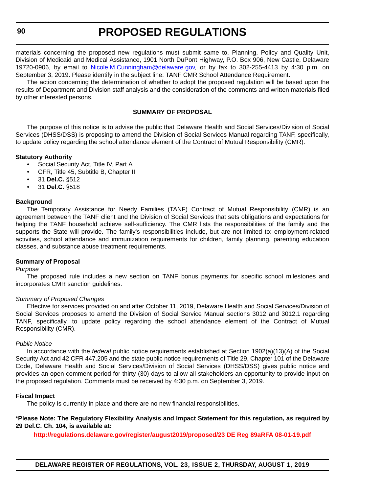materials concerning the proposed new regulations must submit same to, Planning, Policy and Quality Unit, Division of Medicaid and Medical Assistance, 1901 North DuPont Highway, P.O. Box 906, New Castle, Delaware 19720-0906, by email to [Nicole.M.Cunningham@delaware.gov,](mailto:Nicole.M.Cunningham@delaware.gov) or by fax to 302-255-4413 by 4:30 p.m. on September 3, 2019. Please identify in the subject line: TANF CMR School Attendance Requirement.

The action concerning the determination of whether to adopt the proposed regulation will be based upon the results of Department and Division staff analysis and the consideration of the comments and written materials filed by other interested persons.

#### **SUMMARY OF PROPOSAL**

The purpose of this notice is to advise the public that Delaware Health and Social Services/Division of Social Services (DHSS/DSS) is proposing to amend the Division of Social Services Manual regarding TANF, specifically, to update policy regarding the school attendance element of the Contract of Mutual Responsibility (CMR).

#### **Statutory Authority**

- Social Security Act, Title IV, Part A
- CFR, Title 45, Subtitle B, Chapter II
- 31 **Del.C.** §512
- 31 **Del.C.** §518

#### **Background**

The Temporary Assistance for Needy Families (TANF) Contract of Mutual Responsibility (CMR) is an agreement between the TANF client and the Division of Social Services that sets obligations and expectations for helping the TANF household achieve self-sufficiency. The CMR lists the responsibilities of the family and the supports the State will provide. The family's responsibilities include, but are not limited to: employment-related activities, school attendance and immunization requirements for children, family planning, parenting education classes, and substance abuse treatment requirements.

#### **Summary of Proposal**

#### *Purpose*

The proposed rule includes a new section on TANF bonus payments for specific school milestones and incorporates CMR sanction guidelines.

#### *Summary of Proposed Changes*

Effective for services provided on and after October 11, 2019, Delaware Health and Social Services/Division of Social Services proposes to amend the Division of Social Service Manual sections 3012 and 3012.1 regarding TANF, specifically, to update policy regarding the school attendance element of the Contract of Mutual Responsibility (CMR).

#### *Public Notice*

In accordance with the *federal* public notice requirements established at Section 1902(a)(13)(A) of the Social Security Act and 42 CFR 447.205 and the state public notice requirements of Title 29, Chapter 101 of the Delaware Code, Delaware Health and Social Services/Division of Social Services (DHSS/DSS) gives public notice and provides an open comment period for thirty (30) days to allow all stakeholders an opportunity to provide input on the proposed regulation. Comments must be received by 4:30 p.m. on September 3, 2019.

#### **Fiscal Impact**

The policy is currently in place and there are no new financial responsibilities.

**\*Please Note: The Regulatory Flexibility Analysis and Impact Statement for this regulation, as required by 29 Del.C. Ch. 104, is available at:**

**<http://regulations.delaware.gov/register/august2019/proposed/23 DE Reg 89aRFA 08-01-19.pdf>**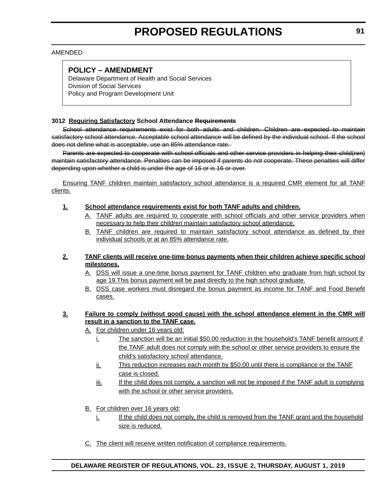#### AMENDED

### **POLICY – AMENDMENT**

Delaware Department of Health and Social Services Division of Social Services Policy and Program Development Unit

#### **3012 Requiring Satisfactory School Attendance Requirements**

School attendance requirements exist for both adults and children. Children are expected to maintain satisfactory school attendance. Acceptable school attendance will be defined by the individual school. If the school does not define what is acceptable, use an 85% attendance rate.

Parents are expected to cooperate with school officials and other service providers in helping their child(ren) maintain satisfactory attendance. Penalties can be imposed if parents do not cooperate. These penalties will differ depending upon whether a child is under the age of 16 or is 16 or over.

Ensuring TANF children maintain satisfactory school attendance is a required CMR element for all TANF clients.

#### **1. School attendance requirements exist for both TANF adults and children.**

- A. TANF adults are required to cooperate with school officials and other service providers when necessary to help their children maintain satisfactory school attendance.
- B. TANF children are required to maintain satisfactory school attendance as defined by their individual schools or at an 85% attendance rate.

#### **2. TANF clients will receive one-time bonus payments when their children achieve specific school milestones.**

- A. DSS will issue a one-time bonus payment for TANF children who graduate from high school by age 19. This bonus payment will be paid directly to the high school graduate.
- B. DSS case workers must disregard the bonus payment as income for TANF and Food Benefit cases.

#### **3. Failure to comply (without good cause) with the school attendance element in the CMR will result in a sanction to the TANF case.**

- A. For children under 16 years old:
	- i. The sanction will be an initial \$50.00 reduction in the household's TANF benefit amount if the TANF adult does not comply with the school or other service providers to ensure the child's satisfactory school attendance.
	- ii. This reduction increases each month by \$50.00 until there is compliance or the TANF case is closed.
	- $\frac{1}{10}$ . If the child does not comply, a sanction will not be imposed if the TANF adult is complying with the school or other service providers.
- B. For children over 16 years old:
	- i. If the child does not comply, the child is removed from the TANF grant and the household size is reduced.
- C. The client will receive written notification of compliance requirements.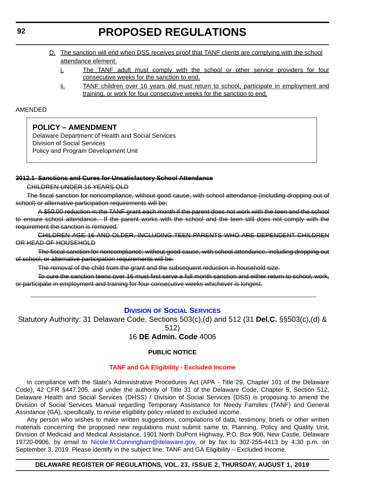- <span id="page-15-0"></span>D. The sanction will end when DSS receives proof that TANF clients are complying with the school attendance element.
	- i. The TANF adult must comply with the school or other service providers for four consecutive weeks for the sanction to end.
	- ii. TANF children over 16 years old must return to school, participate in employment and training, or work for four consecutive weeks for the sanction to end.

#### AMENDED

### **POLICY – AMENDMENT**

Delaware Department of Health and Social Services Division of Social Services Policy and Program Development Unit

#### **3012.1 Sanctions and Cures for Unsatisfactory School Attendance**

CHILDREN UNDER 16 YEARS OLD

The fiscal sanction for noncompliance, without good cause, with school attendance (including dropping out of school) or alternative participation requirements will be:

A \$50.00 reduction in the TANF grant each month if the parent does not work with the teen and the school to ensure school attendance. If the parent works with the school and the teen still does not comply with the requirement the sanction is removed.

CHILDREN AGE 16 AND OLDER, INCLUDING TEEN PARENTS WHO ARE DEPENDENT CHILDREN OR HEAD OF HOUSEHOLD

The fiscal sanction for noncompliance, without good cause, with school attendance, including dropping out of school, or alternative participation requirements will be:

The removal of the child from the grant and the subsequent reduction in household size.

To cure the sanction teens over 16 must first serve a full month sanction and either return to school, work, or participate in employment and training for four consecutive weeks whichever is longest.

### **DIVISION [OF SOCIAL SERVICES](https://www.dhss.delaware.gov/dhss/dss/)**

Statutory Authority: 31 Delaware Code, Sections 503(c),(d) and 512 (31 **Del.C.** §§503(c),(d) & 512)

16 **DE Admin. Code** 4006

#### **PUBLIC NOTICE**

#### **[TANF and GA Eligibility - Excluded Income](#page-3-0)**

In compliance with the State's Administrative Procedures Act (APA - Title 29, Chapter 101 of the Delaware Code), 42 CFR §447.205, and under the authority of Title 31 of the Delaware Code, Chapter 5, Section 512, Delaware Health and Social Services (DHSS) / Division of Social Services (DSS) is proposing to amend the Division of Social Services Manual regarding Temporary Assistance for Needy Families (TANF) and General Assistance (GA), specifically, to revise eligibility policy related to excluded income.

Any person who wishes to make written suggestions, compilations of data, testimony, briefs or other written materials concerning the proposed new regulations must submit same to, Planning, Policy and Quality Unit, Division of Medicaid and Medical Assistance, 1901 North DuPont Highway, P.O. Box 906, New Castle, Delaware 19720-0906, by email to [Nicole.M.Cunningham@delaware.gov,](mailto:Nicole.M.Cunningham@delaware.gov) or by fax to 302-255-4413 by 4:30 p.m. on September 3, 2019. Please identify in the subject line: TANF and GA Eligibility – Excluded Income.

#### **DELAWARE REGISTER OF REGULATIONS, VOL. 23, ISSUE 2, THURSDAY, AUGUST 1, 2019**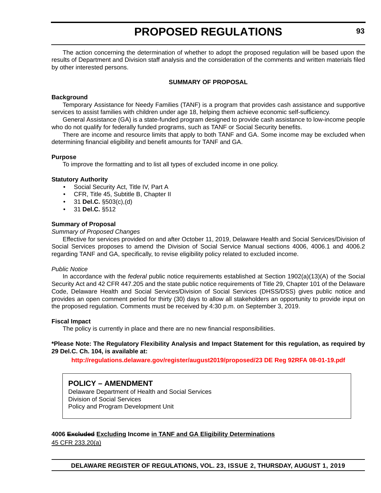The action concerning the determination of whether to adopt the proposed regulation will be based upon the results of Department and Division staff analysis and the consideration of the comments and written materials filed by other interested persons.

#### **SUMMARY OF PROPOSAL**

#### **Background**

Temporary Assistance for Needy Families (TANF) is a program that provides cash assistance and supportive services to assist families with children under age 18, helping them achieve economic self-sufficiency.

General Assistance (GA) is a state-funded program designed to provide cash assistance to low-income people who do not qualify for federally funded programs, such as TANF or Social Security benefits.

There are income and resource limits that apply to both TANF and GA. Some income may be excluded when determining financial eligibility and benefit amounts for TANF and GA.

#### **Purpose**

To improve the formatting and to list all types of excluded income in one policy.

#### **Statutory Authority**

- Social Security Act, Title IV, Part A
- CFR, Title 45, Subtitle B, Chapter II
- 31 **Del.C.** §503(c),(d)
- 31 **Del.C.** §512

#### **Summary of Proposal**

#### *Summary of Proposed Changes*

Effective for services provided on and after October 11, 2019, Delaware Health and Social Services/Division of Social Services proposes to amend the Division of Social Service Manual sections 4006, 4006.1 and 4006.2 regarding TANF and GA, specifically, to revise eligibility policy related to excluded income.

#### *Public Notice*

In accordance with the *federal* public notice requirements established at Section 1902(a)(13)(A) of the Social Security Act and 42 CFR 447.205 and the state public notice requirements of Title 29, Chapter 101 of the Delaware Code, Delaware Health and Social Services/Division of Social Services (DHSS/DSS) gives public notice and provides an open comment period for thirty (30) days to allow all stakeholders an opportunity to provide input on the proposed regulation. Comments must be received by 4:30 p.m. on September 3, 2019.

#### **Fiscal Impact**

The policy is currently in place and there are no new financial responsibilities.

#### **\*Please Note: The Regulatory Flexibility Analysis and Impact Statement for this regulation, as required by 29 Del.C. Ch. 104, is available at:**

**<http://regulations.delaware.gov/register/august2019/proposed/23 DE Reg 92RFA 08-01-19.pdf>**

#### **POLICY – AMENDMENT**

Delaware Department of Health and Social Services Division of Social Services Policy and Program Development Unit

#### **4006 Excluded Excluding Income in TANF and GA Eligibility Determinations**

45 CFR 233.20(a)

**DELAWARE REGISTER OF REGULATIONS, VOL. 23, ISSUE 2, THURSDAY, AUGUST 1, 2019**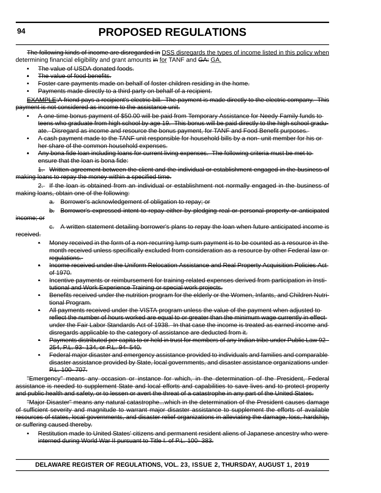The following kinds of income are disregarded in DSS disregards the types of income listed in this policy when determining financial eligibility and grant amounts in for TANF and GA: GA.

- The value of USDA donated foods.
- The value of food benefits.
- Foster care payments made on behalf of foster children residing in the home.
- Payments made directly to a third party on behalf of a recipient.

EXAMPLE:A friend pays a recipient's electric bill. The payment is made directly to the electric company. This payment is not considered as income to the assistance unit.

- A one-time bonus payment of \$50.00 will be paid from Temporary Assistance for Needy Family funds to teens who graduate from high school by age 19. This bonus will be paid directly to the high school graduate. Disregard as income and resource the bonus payment, for TANF and Food Benefit purposes.
- A cash payment made to the TANF unit responsible for household bills by a non- unit member for his or her share of the common household expenses.
- Any bona fide loan including loans for current living expenses. The following criteria must be met to ensure that the loan is bona fide:

1. Written agreement between the client and the individual or establishment engaged in the business of making loans to repay the money within a specified time.

2. If the loan is obtained from an individual or establishment not normally engaged in the business of making loans, obtain one of the following:

- a. Borrower's acknowledgement of obligation to repay; or
- b. Borrower's expressed intent to repay either by pledging real or personal property or anticipated
- income; or
- c. A written statement detailing borrower's plans to repay the loan when future anticipated income is
- received.
	- Money received in the form of a non-recurring lump sum payment is to be counted as a resource in the month received unless specifically excluded from consideration as a resource by other Federal law or regulations.
	- Income received under the Uniform Relocation Assistance and Real Property Acquisition Policies Act of 1970.
	- Incentive payments or reimbursement for training-related expenses derived from participation in Institutional and Work Experience Training or special work projects.
	- Benefits received under the nutrition program for the elderly or the Women, Infants, and Children Nutritional Program.
	- All payments received under the VISTA program unless the value of the payment when adjusted to reflect the number of hours worked are equal to or greater than the minimum wage currently in effectunder the Fair Labor Standards Act of 1938. In that case the income is treated as earned income and disregards applicable to the category of assistance are deducted from it.
	- Payments distributed per capita to or held in trust for members of any Indian tribe under Public Law 92- 254, P.L. 93- 134, or P.L. 94- 540.
	- Federal major disaster and emergency assistance provided to individuals and families and comparable disaster assistance provided by State, local governments, and disaster assistance organizations under P.L. 100- 707.

"Emergency" means any occasion or instance for which, in the determination of the President, Federal assistance is needed to supplement State and local efforts and capabilities to save lives and to protect property and public health and safety, or to lessen or avert the threat of a catastrophe in any part of the United States.

"Major Disaster" means any natural catastrophe...which in the determination of the President causes damage of sufficient severity and magnitude to warrant major disaster assistance to supplement the efforts of available resources of states, local governments, and disaster relief organizations in alleviating the damage, loss, hardship, or suffering caused thereby.

• Restitution made to United States' citizens and permanent resident aliens of Japanese ancestry who were interned during World War II pursuant to Title I. of P.L. 100- 383.

**DELAWARE REGISTER OF REGULATIONS, VOL. 23, ISSUE 2, THURSDAY, AUGUST 1, 2019**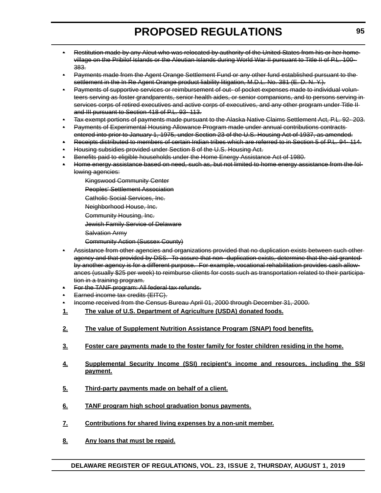- Restitution made by any Aleut who was relocated by authority of the United States from his or her home village on the Pribilof Islands or the Aleutian Islands during World War II pursuant to Title II of P.L. 100- 383.
- Payments made from the Agent Orange Settlement Fund or any other fund established pursuant to the settlement in the In Re Agent Orange product liability litigation, M.D.L. No. 381 (E. D. N. Y.).
- Payments of supportive services or reimbursement of out- of pocket expenses made to individual volunteers serving as foster grandparents, senior health aides, or senior companions, and to persons serving in services corps of retired executives and active corps of executives, and any other program under Title IIand III pursuant to Section 418 of P.L. 93- 113.
- Tax exempt portions of payments made pursuant to the Alaska Native Claims Settlement Act, P.L. 92- 203.
- Payments of Experimental Housing Allowance Program made under annual contributions contracts entered into prior to January 1, 1975, under Section 23 of the U.S. Housing Act of 1937, as amended.
- Receipts distributed to members of certain Indian tribes which are referred to in Section 5 of P.L. 94- 114.
- Housing subsidies provided under Section 8 of the U.S. Housing Act.
- Benefits paid to eligible households under the Home Energy Assistance Act of 1980.
- Home energy assistance based on need, such as, but not limited to home energy assistance from the following agencies:
	- Kingswood Community Center
	- Peoples' Settlement Association
	- Catholic Social Services, Inc.
	- Neighborhood House, Inc.
	- Community Housing, Inc.
	- Jewish Family Service of Delaware
	- Salvation Army
	- Community Action (Sussex County)
- Assistance from other agencies and organizations provided that no duplication exists between such other agency and that provided by DSS. To assure that non- duplication exists, determine that the aid granted by another agency is for a different purpose. For example, vocational rehabilitation provides cash allowances (usually \$25 per week) to reimburse clients for costs such as transportation related to their participation in a training program.
- For the TANF program: All federal tax refunds.
- Earned income tax credits (EITC).
- Income received from the Census Bureau April 01, 2000 through December 31, 2000.
- **1. The value of U.S. Department of Agriculture (USDA) donated foods.**
- **2. The value of Supplement Nutrition Assistance Program (SNAP) food benefits.**
- **3. Foster care payments made to the foster family for foster children residing in the home.**
- **4. Supplemental Security Income (SSI) recipient's income and resources, including the SSI payment.**
- **5. Third-party payments made on behalf of a client.**
- **6. TANF program high school graduation bonus payments.**
- **7. Contributions for shared living expenses by a non-unit member.**
- **8. Any loans that must be repaid.**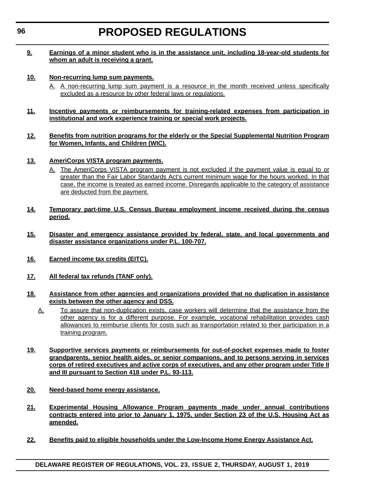#### **9. Earnings of a minor student who is in the assistance unit, including 18-year-old students for whom an adult is receiving a grant.**

#### **10. Non-recurring lump sum payments.**

- A. A non-recurring lump sum payment is a resource in the month received unless specifically excluded as a resource by other federal laws or regulations.
- **11. Incentive payments or reimbursements for training-related expenses from participation in institutional and work experience training or special work projects.**

#### **12. Benefits from nutrition programs for the elderly or the Special Supplemental Nutrition Program for Women, Infants, and Children (WIC).**

- **13. AmeriCorps VISTA program payments.**
	- A. The AmeriCorps VISTA program payment is not excluded if the payment value is equal to or greater than the Fair Labor Standards Act's current minimum wage for the hours worked. In that case, the income is treated as earned income. Disregards applicable to the category of assistance are deducted from the payment.
- **14. Temporary part-time U.S. Census Bureau employment income received during the census period.**
- **15. Disaster and emergency assistance provided by federal, state, and local governments and disaster assistance organizations under P.L. 100-707.**
- **16. Earned income tax credits (EITC).**
- **17. All federal tax refunds (TANF only).**
- **18. Assistance from other agencies and organizations provided that no duplication in assistance exists between the other agency and DSS.**
	- A. To assure that non-duplication exists, case workers will determine that the assistance from the other agency is for a different purpose. For example, vocational rehabilitation provides cash allowances to reimburse clients for costs such as transportation related to their participation in a training program.
- **19. Supportive services payments or reimbursements for out-of-pocket expenses made to foster grandparents, senior health aides, or senior companions, and to persons serving in services corps of retired executives and active corps of executives, and any other program under Title II and III pursuant to Section 418 under P.L. 93-113.**
- **20. Need-based home energy assistance.**
- **21. Experimental Housing Allowance Program payments made under annual contributions contracts entered into prior to January 1, 1975, under Section 23 of the U.S. Housing Act as amended.**
- **22. Benefits paid to eligible households under the Low-Income Home Energy Assistance Act.**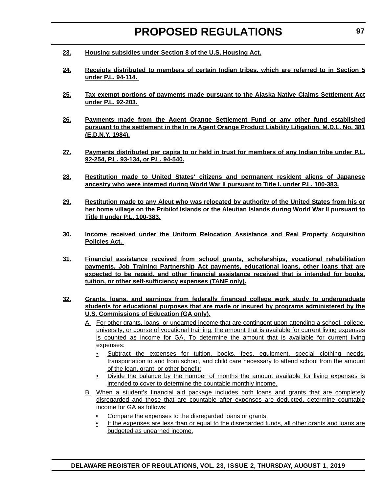- **23. Housing subsidies under Section 8 of the U.S. Housing Act.**
- **24. Receipts distributed to members of certain Indian tribes, which are referred to in Section 5 under P.L. 94-114.**
- **25. Tax exempt portions of payments made pursuant to the Alaska Native Claims Settlement Act under P.L. 92-203.**
- **26. Payments made from the Agent Orange Settlement Fund or any other fund established pursuant to the settlement in the In re Agent Orange Product Liability Litigation, M.D.L. No. 381 (E.D.N.Y. 1984).**
- **27. Payments distributed per capita to or held in trust for members of any Indian tribe under P.L. 92-254, P.L. 93-134, or P.L. 94-540.**
- **28. Restitution made to United States' citizens and permanent resident aliens of Japanese ancestry who were interned during World War II pursuant to Title I. under P.L. 100-383.**
- **29. Restitution made to any Aleut who was relocated by authority of the United States from his or her home village on the Pribilof Islands or the Aleutian Islands during World War II pursuant to Title II under P.L. 100-383.**
- **30. Income received under the Uniform Relocation Assistance and Real Property Acquisition Policies Act.**
- **31. Financial assistance received from school grants, scholarships, vocational rehabilitation payments, Job Training Partnership Act payments, educational loans, other loans that are expected to be repaid, and other financial assistance received that is intended for books, tuition, or other self-sufficiency expenses (TANF only).**
- **32. Grants, loans, and earnings from federally financed college work study to undergraduate students for educational purposes that are made or insured by programs administered by the U.S. Commissions of Education (GA only).**
	- A. For other grants, loans, or unearned income that are contingent upon attending a school, college, university, or course of vocational training, the amount that is available for current living expenses is counted as income for GA. To determine the amount that is available for current living expenses:
		- Subtract the expenses for tuition, books, fees, equipment, special clothing needs, transportation to and from school, and child care necessary to attend school from the amount of the loan, grant, or other benefit;
		- Divide the balance by the number of months the amount available for living expenses is intended to cover to determine the countable monthly income.
	- B. When a student's financial aid package includes both loans and grants that are completely disregarded and those that are countable after expenses are deducted, determine countable income for GA as follows:
		- Compare the expenses to the disregarded loans or grants;
		- If the expenses are less than or equal to the disregarded funds, all other grants and loans are budgeted as unearned income.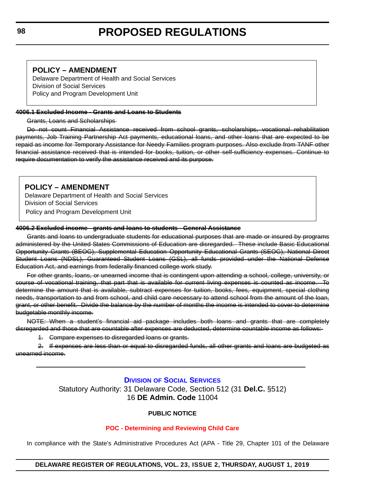#### <span id="page-21-0"></span>**POLICY – AMENDMENT**

Delaware Department of Health and Social Services Division of Social Services Policy and Program Development Unit

#### **4006.1 Excluded Income - Grants and Loans to Students**

Grants, Loans and Scholarships

Do not count Financial Assistance received from school grants, scholarships, vocational rehabilitation payments, Job Training Partnership Act payments, educational loans, and other loans that are expected to be repaid as income for Temporary Assistance for Needy Families program purposes. Also exclude from TANF other financial assistance received that is intended for books, tuition, or other self-sufficiency expenses. Continue to require documentation to verify the assistance received and its purpose.

### **POLICY – AMENDMENT**

Delaware Department of Health and Social Services Division of Social Services Policy and Program Development Unit

#### **4006.2 Excluded income - grants and loans to students - General Assistance**

Grants and loans to undergraduate students for educational purposes that are made or insured by programs administered by the United States Commissions of Education are disregarded. These include Basic Educational Opportunity Grants (BEOG), Supplemental Education Opportunity Educational Grants (SEOG), National Direct Student Loans (NDSL), Guaranteed Student Loans (GSL), all funds provided under the National Defense Education Act, and earnings from federally financed college work study.

For other grants, loans, or unearned income that is contingent upon attending a school, college, university, or course of vocational training, that part that is available for current living expenses is counted as income. To determine the amount that is available, subtract expenses for tuition, books, fees, equipment, special clothing needs, transportation to and from school, and child care necessary to attend school from the amount of the loan, grant, or other benefit. Divide the balance by the number of months the income is intended to cover to determine budgetable monthly income.

NOTE: When a student's financial aid package includes both loans and grants that are completely disregarded and those that are countable after expenses are deducted, determine countable income as follows:

1. Compare expenses to disregarded loans or grants.

2. If expenses are less than or equal to disregarded funds, all other grants and loans are budgeted as unearned income.

#### **DIVISION [OF SOCIAL SERVICES](https://www.dhss.delaware.gov/dhss/dss/)**

Statutory Authority: 31 Delaware Code, Section 512 (31 **Del.C.** §512) 16 **DE Admin. Code** 11004

#### **PUBLIC NOTICE**

#### **[POC - Determining and Reviewing Child Care](#page-3-0)**

In compliance with the State's Administrative Procedures Act (APA - Title 29, Chapter 101 of the Delaware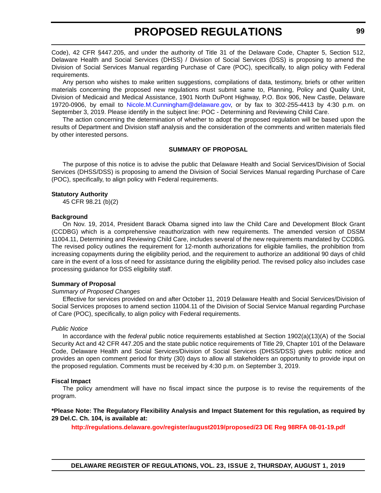Code), 42 CFR §447.205, and under the authority of Title 31 of the Delaware Code, Chapter 5, Section 512, Delaware Health and Social Services (DHSS) / Division of Social Services (DSS) is proposing to amend the Division of Social Services Manual regarding Purchase of Care (POC), specifically, to align policy with Federal requirements.

Any person who wishes to make written suggestions, compilations of data, testimony, briefs or other written materials concerning the proposed new regulations must submit same to, Planning, Policy and Quality Unit, Division of Medicaid and Medical Assistance, 1901 North DuPont Highway, P.O. Box 906, New Castle, Delaware 19720-0906, by email to [Nicole.M.Cunningham@delaware.gov,](mailto:Nicole.M.Cunningham@delaware.gov) or by fax to 302-255-4413 by 4:30 p.m. on September 3, 2019. Please identify in the subject line: POC - Determining and Reviewing Child Care.

The action concerning the determination of whether to adopt the proposed regulation will be based upon the results of Department and Division staff analysis and the consideration of the comments and written materials filed by other interested persons.

#### **SUMMARY OF PROPOSAL**

The purpose of this notice is to advise the public that Delaware Health and Social Services/Division of Social Services (DHSS/DSS) is proposing to amend the Division of Social Services Manual regarding Purchase of Care (POC), specifically, to align policy with Federal requirements.

#### **Statutory Authority**

45 CFR 98.21 (b)(2)

#### **Background**

On Nov. 19, 2014, President Barack Obama signed into law the Child Care and Development Block Grant (CCDBG) which is a comprehensive reauthorization with new requirements. The amended version of DSSM 11004.11, Determining and Reviewing Child Care, includes several of the new requirements mandated by CCDBG. The revised policy outlines the requirement for 12-month authorizations for eligible families, the prohibition from increasing copayments during the eligibility period, and the requirement to authorize an additional 90 days of child care in the event of a loss of need for assistance during the eligibility period. The revised policy also includes case processing guidance for DSS eligibility staff.

#### **Summary of Proposal**

#### *Summary of Proposed Changes*

Effective for services provided on and after October 11, 2019 Delaware Health and Social Services/Division of Social Services proposes to amend section 11004.11 of the Division of Social Service Manual regarding Purchase of Care (POC), specifically, to align policy with Federal requirements.

#### *Public Notice*

In accordance with the *federal* public notice requirements established at Section 1902(a)(13)(A) of the Social Security Act and 42 CFR 447.205 and the state public notice requirements of Title 29, Chapter 101 of the Delaware Code, Delaware Health and Social Services/Division of Social Services (DHSS/DSS) gives public notice and provides an open comment period for thirty (30) days to allow all stakeholders an opportunity to provide input on the proposed regulation. Comments must be received by 4:30 p.m. on September 3, 2019.

#### **Fiscal Impact**

The policy amendment will have no fiscal impact since the purpose is to revise the requirements of the program.

**\*Please Note: The Regulatory Flexibility Analysis and Impact Statement for this regulation, as required by 29 Del.C. Ch. 104, is available at:**

**<http://regulations.delaware.gov/register/august2019/proposed/23 DE Reg 98RFA 08-01-19.pdf>**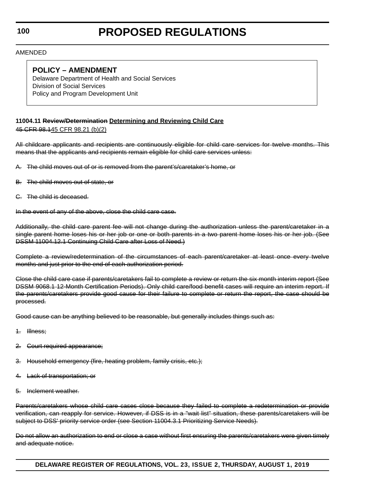**100**

# **PROPOSED REGULATIONS**

AMENDED

### **POLICY – AMENDMENT**

Delaware Department of Health and Social Services Division of Social Services Policy and Program Development Unit

### **11004.11 Review/Determination Determining and Reviewing Child Care**

45 CFR 98.145 CFR 98.21 (b)(2)

All childcare applicants and recipients are continuously eligible for child care services for twelve months. This means that the applicants and recipients remain eligible for child care services unless:

- A. The child moves out of or is removed from the parent's/caretaker's home, or
- B. The child moves out of state, or
- C. The child is deceased.

In the event of any of the above, close the child care case.

Additionally, the child care parent fee will not change during the authorization unless the parent/caretaker in a single parent home loses his or her job or one or both parents in a two parent home loses his or her job. (See DSSM 11004.12.1 Continuing Child Care after Loss of Need.)

Complete a review/redetermination of the circumstances of each parent/caretaker at least once every twelve months and just prior to the end of each authorization period.

Close the child care case if parents/caretakers fail to complete a review or return the six month interim report (See DSSM 9068.1 12-Month Certification Periods). Only child care/food benefit cases will require an interim report. If the parents/caretakers provide good cause for their failure to complete or return the report, the case should be processed.

Good cause can be anything believed to be reasonable, but generally includes things such as:

- 1. Illness;
- 2. Court required appearance;
- 3. Household emergency (fire, heating problem, family crisis, etc.);
- Lack of transportation; or
- Inclement weather.

Parents/caretakers whose child care cases close because they failed to complete a redetermination or provide verification, can reapply for service. However, if DSS is in a "wait list" situation, these parents/caretakers will be subject to DSS' priority service order (see Section 11004.3.1 Prioritizing Service Needs).

Do not allow an authorization to end or close a case without first ensuring the parents/caretakers were given timely and adequate notice.

**DELAWARE REGISTER OF REGULATIONS, VOL. 23, ISSUE 2, THURSDAY, AUGUST 1, 2019**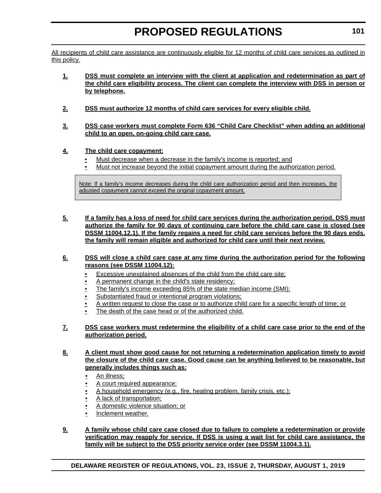All recipients of child care assistance are continuously eligible for 12 months of child care services as outlined in this policy.

- **1. DSS must complete an interview with the client at application and redetermination as part of the child care eligibility process. The client can complete the interview with DSS in person or by telephone.**
- **2. DSS must authorize 12 months of child care services for every eligible child.**
- **3. DSS case workers must complete Form 636 "Child Care Checklist" when adding an additional child to an open, on-going child care case.**
- **4. The child care copayment:**
	- Must decrease when a decrease in the family's income is reported; and
	- Must not increase beyond the initial copayment amount during the authorization period.

Note: If a family's income decreases during the child care authorization period and then increases, the adjusted copayment cannot exceed the original copayment amount.

**5. If a family has a loss of need for child care services during the authorization period, DSS must authorize the family for 90 days of continuing care before the child care case is closed (see DSSM 11004.12.1). If the family regains a need for child care services before the 90 days ends, the family will remain eligible and authorized for child care until their next review.**

#### **6. DSS will close a child care case at any time during the authorization period for the following reasons (see DSSM 11004.12):**

- Excessive unexplained absences of the child from the child care site;
- A permanent change in the child's state residency;
- The family's income exceeding 85% of the state median income (SMI);
- Substantiated fraud or intentional program violations;
- A written request to close the case or to authorize child care for a specific length of time; or
- The death of the case head or of the authorized child.

#### **7. DSS case workers must redetermine the eligibility of a child care case prior to the end of the authorization period.**

**8. A client must show good cause for not returning a redetermination application timely to avoid the closure of the child care case. Good cause can be anything believed to be reasonable, but generally includes things such as:**

- An illness;
- A court required appearance;
- A household emergency (e.g., fire, heating problem, family crisis, etc.);
- A lack of transportation;
- A domestic violence situation; or
- Inclement weather.

#### **9. A family whose child care case closed due to failure to complete a redetermination or provide verification may reapply for service. If DSS is using a wait list for child care assistance, the family will be subject to the DSS priority service order (see DSSM 11004.3.1).**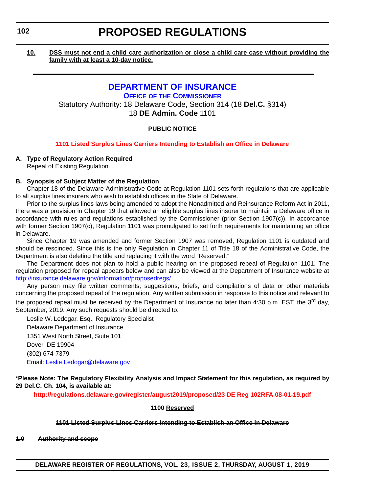#### <span id="page-25-0"></span>**10. DSS must not end a child care authorization or close a child care case without providing the family with at least a 10-day notice.**

### **[DEPARTMENT OF INSURANCE](https://insurance.delaware.gov/)**

**OFFICE OF [THE COMMISSIONER](https://insurance.delaware.gov/bio/)** Statutory Authority: 18 Delaware Code, Section 314 (18 **Del.C.** §314) 18 **DE Admin. Code** 1101

### **PUBLIC NOTICE**

#### **[1101 Listed Surplus Lines Carriers Intending to Establish an Office in Delaware](#page-3-0)**

#### **A. Type of Regulatory Action Required**

Repeal of Existing Regulation.

#### **B. Synopsis of Subject Matter of the Regulation**

Chapter 18 of the Delaware Administrative Code at Regulation 1101 sets forth regulations that are applicable to all surplus lines insurers who wish to establish offices in the State of Delaware.

Prior to the surplus lines laws being amended to adopt the Nonadmitted and Reinsurance Reform Act in 2011, there was a provision in Chapter 19 that allowed an eligible surplus lines insurer to maintain a Delaware office in accordance with rules and regulations established by the Commissioner (prior Section 1907(c)). In accordance with former Section 1907(c), Regulation 1101 was promulgated to set forth requirements for maintaining an office in Delaware.

Since Chapter 19 was amended and former Section 1907 was removed, Regulation 1101 is outdated and should be rescinded. Since this is the only Regulation in Chapter 11 of Title 18 of the Administrative Code, the Department is also deleting the title and replacing it with the word "Reserved."

The Department does not plan to hold a public hearing on the proposed repeal of Regulation 1101. The regulation proposed for repeal appears below and can also be viewed at the Department of Insurance website at [http://insurance.delaware.gov/information/proposedregs/.](http://insurance.delaware.gov/information/proposedregs/)

Any person may file written comments, suggestions, briefs, and compilations of data or other materials concerning the proposed repeal of the regulation. Any written submission in response to this notice and relevant to the proposed repeal must be received by the Department of Insurance no later than 4:30 p.m. EST, the 3<sup>rd</sup> day, September, 2019. Any such requests should be directed to:

Leslie W. Ledogar, Esq., Regulatory Specialist Delaware Department of Insurance 1351 West North Street, Suite 101 Dover, DE 19904 (302) 674-7379 Email: [Leslie.Ledogar@delaware.gov](mailto:Leslie.Ledogar@delaware.gov)

**\*Please Note: The Regulatory Flexibility Analysis and Impact Statement for this regulation, as required by 29 Del.C. Ch. 104, is available at:**

**<http://regulations.delaware.gov/register/august2019/proposed/23 DE Reg 102RFA 08-01-19.pdf>**

**1100 Reserved**

#### **1101 Listed Surplus Lines Carriers Intending to Establish an Office in Delaware**

**1.0 Authority and scope**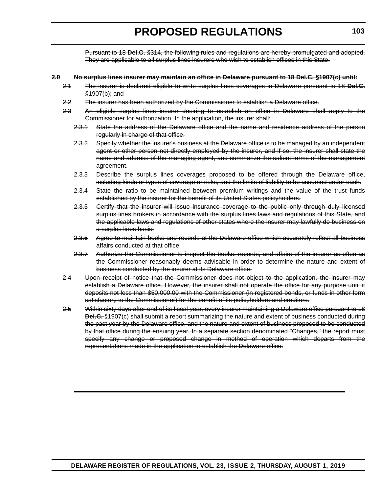Pursuant to 18 **Del.C.** §314, the following rules and regulations are hereby promulgated and adopted. They are applicable to all surplus lines insurers who wish to establish offices in this State.

#### **2.0 No surplus lines insurer may maintain an office in Delaware pursuant to 18 Del.C. §1907(c) until:**

- 2.1 The insurer is declared eligible to write surplus lines coverages in Delaware pursuant to 18 **Del.C.** §1907(b); and
- 2.2 The insurer has been authorized by the Commissioner to establish a Delaware office.
- 2.3 An eligible surplus lines insurer desiring to establish an office in Delaware shall apply to the Commissioner for authorization. In the application, the insurer shall:
	- 2.3.1 State the address of the Delaware office and the name and residence address of the person regularly in charge of that office.
	- 2.3.2 Specify whether the insurer's business at the Delaware office is to be managed by an independent agent or other person not directly employed by the insurer, and if so, the insurer shall state the name and address of the managing agent, and summarize the salient terms of the management agreement.
	- 2.3.3 Describe the surplus lines coverages proposed to be offered through the Delaware office, including kinds or types of coverage or risks, and the limits of liability to be assumed under each.
	- 2.3.4 State the ratio to be maintained between premium writings and the value of the trust funds established by the insurer for the benefit of its United States policyholders.
	- 2.3.5 Certify that the insurer will issue insurance coverage to the public only through duly licensed surplus lines brokers in accordance with the surplus lines laws and regulations of this State, and the applicable laws and regulations of other states where the insurer may lawfully do business on a surplus lines basis.
	- 2.3.6 Agree to maintain books and records at the Delaware office which accurately reflect all business affairs conducted at that office.
	- 2.3.7 Authorize the Commissioner to inspect the books, records, and affairs of the insurer as often as the Commissioner reasonably deems advisable in order to determine the nature and extent of business conducted by the insurer at its Delaware office.
- 2.4 Upon receipt of notice that the Commissioner does not object to the application, the insurer may establish a Delaware office. However, the insurer shall not operate the office for any purpose until it deposits not less than \$50,000.00 with the Commissioner (in registered bonds, or funds in other form satisfactory to the Commissioner) for the benefit of its policyholders and creditors.
- 2.5 Within sixty days after end of its fiscal year, every insurer maintaining a Delaware office pursuant to 18 **Del.C.** §1907(c) shall submit a report summarizing the nature and extent of business conducted during the past year by the Delaware office, and the nature and extent of business proposed to be conducted by that office during the ensuing year. In a separate section denominated "Changes," the report must specify any change or proposed change in method of operation which departs from the representations made in the application to establish the Delaware office.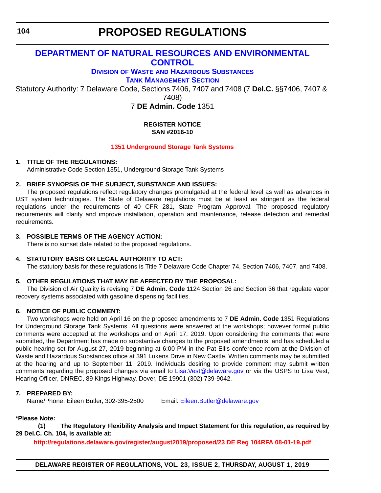<span id="page-27-0"></span>**104**

# **PROPOSED REGULATIONS**

### **[DEPARTMENT OF NATURAL RESOURCES AND ENVIRONMENTAL](https://dnrec.alpha.delaware.gov/)  CONTROL**

### **DIVISION OF WASTE [AND HAZARDOUS SUBSTANCES](https://dnrec.alpha.delaware.gov/waste-hazardous/)**

**[TANK MANAGEMENT SECTION](https://dnrec.alpha.delaware.gov/waste-hazardous/tanks/ )**

Statutory Authority: 7 Delaware Code, Sections 7406, 7407 and 7408 (7 **Del.C.** §§7406, 7407 &

7408)

7 **DE Admin. Code** 1351

#### **REGISTER NOTICE SAN #2016-10**

### **[1351 Underground Storage Tank Systems](#page-3-0)**

#### **1. TITLE OF THE REGULATIONS:**

Administrative Code Section 1351, Underground Storage Tank Systems

### **2. BRIEF SYNOPSIS OF THE SUBJECT, SUBSTANCE AND ISSUES:**

The proposed regulations reflect regulatory changes promulgated at the federal level as well as advances in UST system technologies. The State of Delaware regulations must be at least as stringent as the federal regulations under the requirements of 40 CFR 281, State Program Approval. The proposed regulatory requirements will clarify and improve installation, operation and maintenance, release detection and remedial requirements.

### **3. POSSIBLE TERMS OF THE AGENCY ACTION:**

There is no sunset date related to the proposed regulations.

#### **4. STATUTORY BASIS OR LEGAL AUTHORITY TO ACT:**

The statutory basis for these regulations is Title 7 Delaware Code Chapter 74, Section 7406, 7407, and 7408.

#### **5. OTHER REGULATIONS THAT MAY BE AFFECTED BY THE PROPOSAL:**

The Division of Air Quality is revising 7 **DE Admin. Code** 1124 Section 26 and Section 36 that regulate vapor recovery systems associated with gasoline dispensing facilities.

### **6. NOTICE OF PUBLIC COMMENT:**

Two workshops were held on April 16 on the proposed amendments to 7 **DE Admin. Code** 1351 Regulations for Underground Storage Tank Systems. All questions were answered at the workshops; however formal public comments were accepted at the workshops and on April 17, 2019. Upon considering the comments that were submitted, the Department has made no substantive changes to the proposed amendments, and has scheduled a public hearing set for August 27, 2019 beginning at 6:00 PM in the Pat Ellis conference room at the Division of Waste and Hazardous Substances office at 391 Lukens Drive in New Castle. Written comments may be submitted at the hearing and up to September 11, 2019. Individuals desiring to provide comment may submit written comments regarding the proposed changes via email to [Lisa.Vest@delaware.gov](mailto:Lisa.Vest@delaware.gov) or via the USPS to Lisa Vest, Hearing Officer, DNREC, 89 Kings Highway, Dover, DE 19901 (302) 739-9042.

### **7. PREPARED BY:**

Name/Phone: Eileen Butler, 302-395-2500 Email: [Eileen.Butler@delaware.gov](mailto:Eileen.Butler@delaware.gov)

### **\*Please Note:**

**(1) The Regulatory Flexibility Analysis and Impact Statement for this regulation, as required by 29 Del.C. Ch. 104, is available at:**

**<http://regulations.delaware.gov/register/august2019/proposed/23 DE Reg 104RFA 08-01-19.pdf>**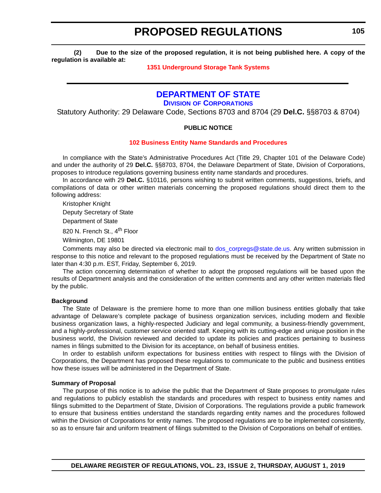<span id="page-28-0"></span>**(2) Due to the size of the proposed regulation, it is not being published here. A copy of the regulation is available at:**

#### **[1351 Underground Storage Tank Systems](http://regulations.delaware.gov/register/august2019/proposed/23 DE Reg 104 08-01-19.htm)**

### **[DEPARTMENT OF STATE](https://sos.delaware.gov/)**

**DIVISION [OF CORPORATIONS](https://corp.delaware.gov/)**

Statutory Authority: 29 Delaware Code, Sections 8703 and 8704 (29 **Del.C.** §§8703 & 8704)

#### **PUBLIC NOTICE**

#### **[102 Business Entity Name Standards and Procedures](#page-3-0)**

In compliance with the State's Administrative Procedures Act (Title 29, Chapter 101 of the Delaware Code) and under the authority of 29 **Del.C.** §§8703, 8704, the Delaware Department of State, Division of Corporations, proposes to introduce regulations governing business entity name standards and procedures.

In accordance with 29 **Del.C.** §10116, persons wishing to submit written comments, suggestions, briefs, and compilations of data or other written materials concerning the proposed regulations should direct them to the following address:

Kristopher Knight

Deputy Secretary of State

Department of State

820 N. French St., 4<sup>th</sup> Floor

Wilmington, DE 19801

Comments may also be directed via electronic mail to [dos\\_corpregs@state.de.us.](mailto:dos_corpregs@state.de.us) Any written submission in response to this notice and relevant to the proposed regulations must be received by the Department of State no later than 4:30 p.m. EST, Friday, September 6, 2019.

The action concerning determination of whether to adopt the proposed regulations will be based upon the results of Department analysis and the consideration of the written comments and any other written materials filed by the public.

#### **Background**

The State of Delaware is the premiere home to more than one million business entities globally that take advantage of Delaware's complete package of business organization services, including modern and flexible business organization laws, a highly-respected Judiciary and legal community, a business-friendly government, and a highly-professional, customer service oriented staff. Keeping with its cutting-edge and unique position in the business world, the Division reviewed and decided to update its policies and practices pertaining to business names in filings submitted to the Division for its acceptance, on behalf of business entities.

In order to establish uniform expectations for business entities with respect to filings with the Division of Corporations, the Department has proposed these regulations to communicate to the public and business entities how these issues will be administered in the Department of State.

#### **Summary of Proposal**

The purpose of this notice is to advise the public that the Department of State proposes to promulgate rules and regulations to publicly establish the standards and procedures with respect to business entity names and filings submitted to the Department of State, Division of Corporations. The regulations provide a public framework to ensure that business entities understand the standards regarding entity names and the procedures followed within the Division of Corporations for entity names. The proposed regulations are to be implemented consistently, so as to ensure fair and uniform treatment of filings submitted to the Division of Corporations on behalf of entities.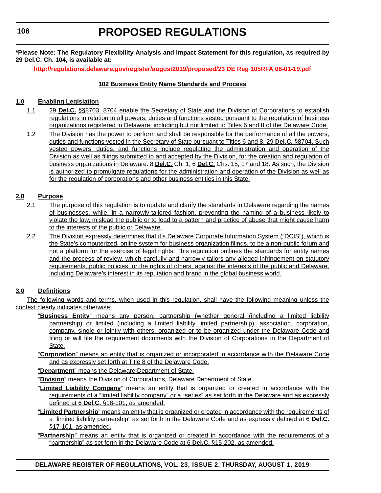**\*Please Note: The Regulatory Flexibility Analysis and Impact Statement for this regulation, as required by 29 Del.C. Ch. 104, is available at:**

**<http://regulations.delaware.gov/register/august2019/proposed/23 DE Reg 105RFA 08-01-19.pdf>**

#### **102 Business Entity Name Standards and Process**

#### **1.0 Enabling Legislation**

- 1.1 29 **Del.C.** §§8703, 8704 enable the Secretary of State and the Division of Corporations to establish regulations in relation to all powers, duties and functions vested pursuant to the regulation of business organizations registered in Delaware, including but not limited to Titles 6 and 8 of the Delaware Code.
- 1.2 The Division has the power to perform and shall be responsible for the performance of all the powers, duties and functions vested in the Secretary of State pursuant to Titles 6 and 8. 29 **Del.C.** §8704. Such vested powers, duties, and functions include regulating the administration and operation of the Division as well as filings submitted to and accepted by the Division, for the creation and regulation of business organizations in Delaware. 8 **Del.C.** Ch. 1; 6 **Del.C.** Chs. 15, 17 and 18. As such, the Division is authorized to promulgate regulations for the administration and operation of the Division as well as for the regulation of corporations and other business entities in this State.

#### **2.0 Purpose**

- 2.1 The purpose of this regulation is to update and clarify the standards in Delaware regarding the names of businesses, while, in a narrowly-tailored fashion, preventing the naming of a business likely to violate the law, mislead the public or to lead to a pattern and practice of abuse that might cause harm to the interests of the public or Delaware.
- 2.2 The Division expressly determines that it's Delaware Corporate Information System ("DCIS"), which is the State's computerized, online system for business organization filings, to be a non-public forum and not a platform for the exercise of legal rights. This regulation outlines the standards for entity names and the process of review, which carefully and narrowly tailors any alleged infringement on statutory requirements, public policies, or the rights of others, against the interests of the public and Delaware, including Delaware's interest in its reputation and brand in the global business world.

#### **3.0 Definitions**

The following words and terms, when used in this regulation, shall have the following meaning unless the context clearly indicates otherwise:

- "**Business Entity**" means any person, partnership (whether general (including a limited liability partnership) or limited (including a limited liability limited partnership), association, corporation, company, single or jointly with others, organized or to be organized under the Delaware Code and filing or will file the requirement documents with the Division of Corporations in the Department of State.
- "**Corporation**" means an entity that is organized or incorporated in accordance with the Delaware Code and as expressly set forth at Title 8 of the Delaware Code.
- "**Department**" means the Delaware Department of State.

"**Division**" means the Division of Corporations, Delaware Department of State.

- "**Limited Liability Company**" means an entity that is organized or created in accordance with the requirements of a "limited liability company" or a "series" as set forth in the Delaware and as expressly defined at 6 **Del.C.** §18-101, as amended.
- "**Limited Partnership**" means an entity that is organized or created in accordance with the requirements of a "limited liability partnership" as set forth in the Delaware Code and as expressly defined at 6 **Del.C.** §17-101, as amended.
- "**Partnership**" means an entity that is organized or created in accordance with the requirements of a "partnership" as set forth in the Delaware Code at 6 **Del.C.** §15-202, as amended.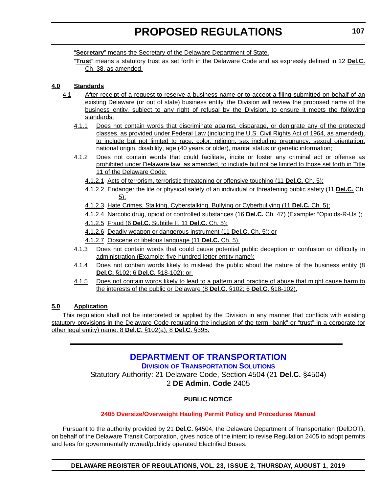<span id="page-30-0"></span>"**Secretary**" means the Secretary of the Delaware Department of State.

"**Trust**" means a statutory trust as set forth in the Delaware Code and as expressly defined in 12 **Del.C.** Ch. 38, as amended.

### **4.0 Standards**

- 4.1 After receipt of a request to reserve a business name or to accept a filing submitted on behalf of an existing Delaware (or out of state) business entity, the Division will review the proposed name of the business entity, subject to any right of refusal by the Division, to ensure it meets the following standards:
	- 4.1.1 Does not contain words that discriminate against, disparage, or denigrate any of the protected classes, as provided under Federal Law (including the U.S. Civil Rights Act of 1964, as amended), to include but not limited to race, color, religion, sex including pregnancy, sexual orientation, national origin, disability, age (40 years or older), marital status or genetic information;
	- 4.1.2 Does not contain words that could facilitate, incite or foster any criminal act or offense as prohibited under Delaware law, as amended, to include but not be limited to those set forth in Title 11 of the Delaware Code:
		- 4.1.2.1 Acts of terrorism, terroristic threatening or offensive touching (11 **Del.C.** Ch. 5);
		- 4.1.2.2 Endanger the life or physical safety of an individual or threatening public safety (11 **Del.C.** Ch. 5);
		- 4.1.2.3 Hate Crimes, Stalking, Cyberstalking, Bullying or Cyberbullying (11 **Del.C.** Ch. 5);
		- 4.1.2.4 Narcotic drug, opioid or controlled substances (16 **Del.C.** Ch. 47) (Example: "Opioids-R-Us");
		- 4.1.2.5 Fraud (6 **Del.C.** Subtitle II, 11 **Del.C.** Ch. 5);
		- 4.1.2.6 Deadly weapon or dangerous instrument (11 **Del.C.** Ch. 5); or
		- 4.1.2.7 Obscene or libelous language (11 **Del.C.** Ch. 5).
	- 4.1.3 Does not contain words that could cause potential public deception or confusion or difficulty in administration (Example: five-hundred-letter entity name);
	- 4.1.4 Does not contain words likely to mislead the public about the nature of the business entity (8 **Del.C.** §102; 6 **Del.C.** §18-102); or
	- 4.1.5 Does not contain words likely to lead to a pattern and practice of abuse that might cause harm to the interests of the public or Delaware (8 **Del.C.** §102; 6 **Del.C.** §18-102).

#### **5.0 Application**

This regulation shall not be interpreted or applied by the Division in any manner that conflicts with existing statutory provisions in the Delaware Code regulating the inclusion of the term "bank" or "trust" in a corporate (or other legal entity) name. 8 **Del.C.** §102(a); 8 **Del.C.** §395.

### **[DEPARTMENT OF TRANSPORTATION](https://www.deldot.gov/index.shtml ) DIVISION [OF TRANSPORTATION SOLUTIONS](https://deldot.gov/About/divisions/)** Statutory Authority: 21 Delaware Code, Section 4504 (21 **Del.C.** §4504) 2 **DE Admin. Code** 2405

#### **PUBLIC NOTICE**

#### **[2405 Oversize/Overweight Hauling Permit Policy and Procedures Manual](#page-3-0)**

Pursuant to the authority provided by 21 **Del.C.** §4504, the Delaware Department of Transportation (DelDOT), on behalf of the Delaware Transit Corporation, gives notice of the intent to revise Regulation 2405 to adopt permits and fees for governmentally owned/publicly operated Electrified Buses.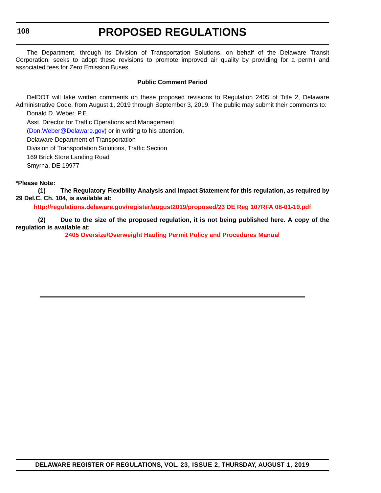**108**

# **PROPOSED REGULATIONS**

The Department, through its Division of Transportation Solutions, on behalf of the Delaware Transit Corporation, seeks to adopt these revisions to promote improved air quality by providing for a permit and associated fees for Zero Emission Buses.

#### **Public Comment Period**

DelDOT will take written comments on these proposed revisions to Regulation 2405 of Title 2, Delaware Administrative Code, from August 1, 2019 through September 3, 2019. The public may submit their comments to: Donald D. Weber, P.E.

Asst. Director for Traffic Operations and Management

[\(Don.Weber@Delaware.gov](mailto:Don.Weber@Delaware.gov)) or in writing to his attention,

Delaware Department of Transportation

Division of Transportation Solutions, Traffic Section

169 Brick Store Landing Road

Smyrna, DE 19977

#### **\*Please Note:**

**(1) The Regulatory Flexibility Analysis and Impact Statement for this regulation, as required by 29 Del.C. Ch. 104, is available at:**

**<http://regulations.delaware.gov/register/august2019/proposed/23 DE Reg 107RFA 08-01-19.pdf>**

**(2) Due to the size of the proposed regulation, it is not being published here. A copy of the regulation is available at:**

**[2405 Oversize/Overweight Hauling Permit Policy and Procedures Manual](http://regulations.delaware.gov/register/august2019/proposed/23 DE Reg 107 08-01-19.htm)**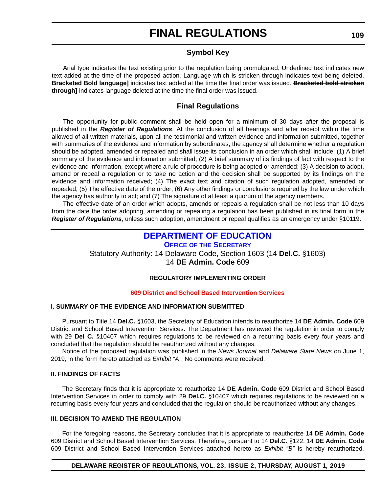#### **Symbol Key**

<span id="page-32-0"></span>Arial type indicates the text existing prior to the regulation being promulgated. Underlined text indicates new text added at the time of the proposed action. Language which is stricken through indicates text being deleted. **Bracketed Bold language]** indicates text added at the time the final order was issued. **Bracketed bold stricken through]** indicates language deleted at the time the final order was issued.

### **Final Regulations**

The opportunity for public comment shall be held open for a minimum of 30 days after the proposal is published in the *Register of Regulations*. At the conclusion of all hearings and after receipt within the time allowed of all written materials, upon all the testimonial and written evidence and information submitted, together with summaries of the evidence and information by subordinates, the agency shall determine whether a regulation should be adopted, amended or repealed and shall issue its conclusion in an order which shall include: (1) A brief summary of the evidence and information submitted; (2) A brief summary of its findings of fact with respect to the evidence and information, except where a rule of procedure is being adopted or amended; (3) A decision to adopt, amend or repeal a regulation or to take no action and the decision shall be supported by its findings on the evidence and information received; (4) The exact text and citation of such regulation adopted, amended or repealed; (5) The effective date of the order; (6) Any other findings or conclusions required by the law under which the agency has authority to act; and (7) The signature of at least a quorum of the agency members.

The effective date of an order which adopts, amends or repeals a regulation shall be not less than 10 days from the date the order adopting, amending or repealing a regulation has been published in its final form in the *Register of Regulations*, unless such adoption, amendment or repeal qualifies as an emergency under §10119.

### **[DEPARTMENT OF EDUCATION](https://www.doe.k12.de.us/)**

**OFFICE OF [THE SECRETARY](https://www.doe.k12.de.us/Page/11)** Statutory Authority: 14 Delaware Code, Section 1603 (14 **Del.C.** §1603) 14 **DE Admin. Code** 609

#### **REGULATORY IMPLEMENTING ORDER**

#### **[609 District and School Based Intervention Services](#page-3-0)**

#### **I. SUMMARY OF THE EVIDENCE AND INFORMATION SUBMITTED**

Pursuant to Title 14 **Del.C.** §1603, the Secretary of Education intends to reauthorize 14 **DE Admin. Code** 609 District and School Based Intervention Services. The Department has reviewed the regulation in order to comply with 29 **Del C.** §10407 which requires regulations to be reviewed on a recurring basis every four years and concluded that the regulation should be reauthorized without any changes.

Notice of the proposed regulation was published in the *News Journal* and *Delaware State News* on June 1, 2019, in the form hereto attached as *Exhibit "A"*. No comments were received.

#### **II. FINDINGS OF FACTS**

The Secretary finds that it is appropriate to reauthorize 14 **DE Admin. Code** 609 District and School Based Intervention Services in order to comply with 29 **Del.C.** §10407 which requires regulations to be reviewed on a recurring basis every four years and concluded that the regulation should be reauthorized without any changes.

#### **III. DECISION TO AMEND THE REGULATION**

For the foregoing reasons, the Secretary concludes that it is appropriate to reauthorize 14 **DE Admin. Code** 609 District and School Based Intervention Services. Therefore, pursuant to 14 **Del.C.** §122, 14 **DE Admin. Code** 609 District and School Based Intervention Services attached hereto as *Exhibit "B"* is hereby reauthorized.

#### **DELAWARE REGISTER OF REGULATIONS, VOL. 23, ISSUE 2, THURSDAY, AUGUST 1, 2019**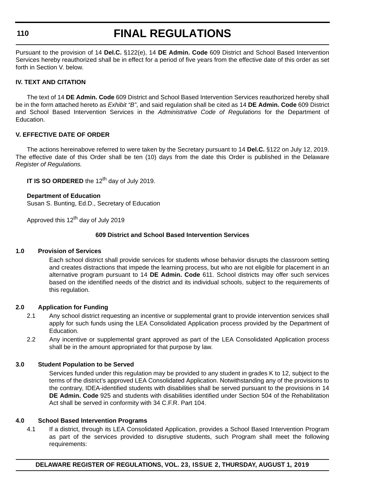#### **110**

# **FINAL REGULATIONS**

Pursuant to the provision of 14 **Del.C.** §122(e), 14 **DE Admin. Code** 609 District and School Based Intervention Services hereby reauthorized shall be in effect for a period of five years from the effective date of this order as set forth in Section V. below.

#### **IV. TEXT AND CITATION**

The text of 14 **DE Admin. Code** 609 District and School Based Intervention Services reauthorized hereby shall be in the form attached hereto as *Exhibit "B"*, and said regulation shall be cited as 14 **DE Admin. Code** 609 District and School Based Intervention Services in the *Administrative Code of Regulations* for the Department of Education.

#### **V. EFFECTIVE DATE OF ORDER**

The actions hereinabove referred to were taken by the Secretary pursuant to 14 **Del.C.** §122 on July 12, 2019. The effective date of this Order shall be ten (10) days from the date this Order is published in the Delaware *Register of Regulations.*

**IT IS SO ORDERED** the 12<sup>th</sup> day of July 2019.

#### **Department of Education**

Susan S. Bunting, Ed.D., Secretary of Education

Approved this 12<sup>th</sup> day of July 2019

#### **609 District and School Based Intervention Services**

#### **1.0 Provision of Services**

Each school district shall provide services for students whose behavior disrupts the classroom setting and creates distractions that impede the learning process, but who are not eligible for placement in an alternative program pursuant to 14 **DE Admin. Code** 611. School districts may offer such services based on the identified needs of the district and its individual schools, subject to the requirements of this regulation.

#### **2.0 Application for Funding**

- 2.1 Any school district requesting an incentive or supplemental grant to provide intervention services shall apply for such funds using the LEA Consolidated Application process provided by the Department of **Education**
- 2.2 Any incentive or supplemental grant approved as part of the LEA Consolidated Application process shall be in the amount appropriated for that purpose by law.

#### **3.0 Student Population to be Served**

Services funded under this regulation may be provided to any student in grades K to 12, subject to the terms of the district's approved LEA Consolidated Application. Notwithstanding any of the provisions to the contrary, IDEA-identified students with disabilities shall be served pursuant to the provisions in 14 **DE Admin. Code** 925 and students with disabilities identified under Section 504 of the Rehabilitation Act shall be served in conformity with 34 C.F.R. Part 104.

#### **4.0 School Based Intervention Programs**

4.1 If a district, through its LEA Consolidated Application, provides a School Based Intervention Program as part of the services provided to disruptive students, such Program shall meet the following requirements:

**DELAWARE REGISTER OF REGULATIONS, VOL. 23, ISSUE 2, THURSDAY, AUGUST 1, 2019**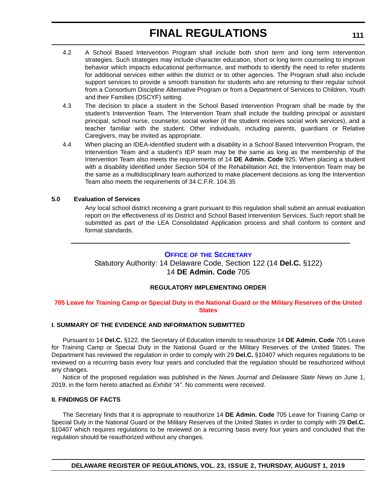- <span id="page-34-0"></span>4.2 A School Based Intervention Program shall include both short term and long term intervention strategies. Such strategies may include character education, short or long term counseling to improve behavior which impacts educational performance, and methods to identify the need to refer students for additional services either within the district or to other agencies. The Program shall also include support services to provide a smooth transition for students who are returning to their regular school from a Consortium Discipline Alternative Program or from a Department of Services to Children, Youth and their Families (DSCYF) setting.
- 4.3 The decision to place a student in the School Based Intervention Program shall be made by the student's Intervention Team. The Intervention Team shall include the building principal or assistant principal, school nurse, counselor, social worker (if the student receives social work services), and a teacher familiar with the student. Other individuals, including parents, guardians or Relative Caregivers, may be invited as appropriate.
- 4.4 When placing an IDEA-identified student with a disability in a School Based Intervention Program, the Intervention Team and a student's IEP team may be the same as long as the membership of the Intervention Team also meets the requirements of 14 **DE Admin. Code** 925. When placing a student with a disability identified under Section 504 of the Rehabilitation Act, the Intervention Team may be the same as a multidisciplinary team authorized to make placement decisions as long the Intervention Team also meets the requirements of 34 C.F.R. 104.35

#### **5.0 Evaluation of Services**

Any local school district receiving a grant pursuant to this regulation shall submit an annual evaluation report on the effectiveness of its District and School Based Intervention Services. Such report shall be submitted as part of the LEA Consolidated Application process and shall conform to content and format standards.

#### **OFFICE OF [THE SECRETARY](https://www.doe.k12.de.us/Page/11)**

Statutory Authority: 14 Delaware Code, Section 122 (14 **Del.C.** §122) 14 **DE Admin. Code** 705

#### **REGULATORY IMPLEMENTING ORDER**

#### **[705 Leave for Training Camp or Special Duty in the National Guard or the Military Reserves of the United](#page-3-0)  States**

#### **I. SUMMARY OF THE EVIDENCE AND INFORMATION SUBMITTED**

Pursuant to 14 **Del.C.** §122, the Secretary of Education intends to reauthorize 14 **DE Admin. Code** 705 Leave for Training Camp or Special Duty in the National Guard or the Military Reserves of the United States. The Department has reviewed the regulation in order to comply with 29 **Del.C.** §10407 which requires regulations to be reviewed on a recurring basis every four years and concluded that the regulation should be reauthorized without any changes.

Notice of the proposed regulation was published in the *News Journal* and *Delaware State News* on June 1, 2019, in the form hereto attached as *Exhibit "A"*. No comments were received.

#### **II. FINDINGS OF FACTS**

The Secretary finds that it is appropriate to reauthorize 14 **DE Admin. Code** 705 Leave for Training Camp or Special Duty in the National Guard or the Military Reserves of the United States in order to comply with 29 **Del.C.** §10407 which requires regulations to be reviewed on a recurring basis every four years and concluded that the regulation should be reauthorized without any changes.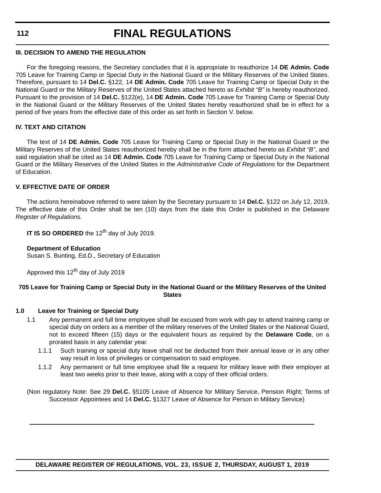### **112**

# **FINAL REGULATIONS**

#### **III. DECISION TO AMEND THE REGULATION**

For the foregoing reasons, the Secretary concludes that it is appropriate to reauthorize 14 **DE Admin. Code** 705 Leave for Training Camp or Special Duty in the National Guard or the Military Reserves of the United States. Therefore, pursuant to 14 **Del.C.** §122, 14 **DE Admin. Code** 705 Leave for Training Camp or Special Duty in the National Guard or the Military Reserves of the United States attached hereto as *Exhibit "B"* is hereby reauthorized. Pursuant to the provision of 14 **Del.C.** §122(e), 14 **DE Admin. Code** 705 Leave for Training Camp or Special Duty in the National Guard or the Military Reserves of the United States hereby reauthorized shall be in effect for a period of five years from the effective date of this order as set forth in Section V. below.

#### **IV. TEXT AND CITATION**

The text of 14 **DE Admin. Code** 705 Leave for Training Camp or Special Duty in the National Guard or the Military Reserves of the United States reauthorized hereby shall be in the form attached hereto as *Exhibit "B"*, and said regulation shall be cited as 14 **DE Admin. Code** 705 Leave for Training Camp or Special Duty in the National Guard or the Military Reserves of the United States in the *Administrative Code of Regulations* for the Department of Education.

#### **V. EFFECTIVE DATE OF ORDER**

The actions hereinabove referred to were taken by the Secretary pursuant to 14 **Del.C.** §122 on July 12, 2019. The effective date of this Order shall be ten (10) days from the date this Order is published in the Delaware *Register of Regulations.*

**IT IS SO ORDERED** the 12<sup>th</sup> day of July 2019.

#### **Department of Education**

Susan S. Bunting, Ed.D., Secretary of Education

Approved this  $12<sup>th</sup>$  day of July 2019

#### **705 Leave for Training Camp or Special Duty in the National Guard or the Military Reserves of the United States**

#### **1.0 Leave for Training or Special Duty**

- 1.1 Any permanent and full time employee shall be excused from work with pay to attend training camp or special duty on orders as a member of the military reserves of the United States or the National Guard, not to exceed fifteen (15) days or the equivalent hours as required by the **Delaware Code**, on a prorated basis in any calendar year.
	- 1.1.1 Such training or special duty leave shall not be deducted from their annual leave or in any other way result in loss of privileges or compensation to said employee.
	- 1.1.2 Any permanent or full time employee shall file a request for military leave with their employer at least two weeks prior to their leave, along with a copy of their official orders.

(Non regulatory Note: See 29 **Del.C.** §5105 Leave of Absence for Military Service, Pension Right; Terms of Successor Appointees and 14 **Del.C.** §1327 Leave of Absence for Person in Military Service)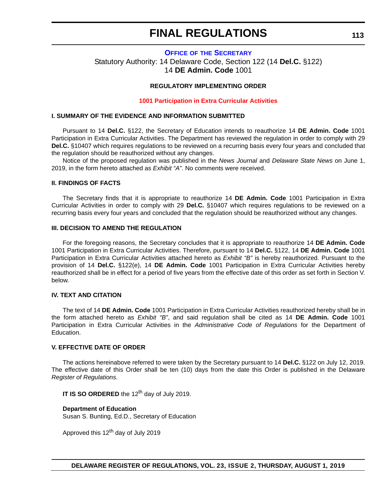#### <span id="page-36-0"></span>**OFFICE OF [THE SECRETARY](https://www.doe.k12.de.us/Page/11)** Statutory Authority: 14 Delaware Code, Section 122 (14 **Del.C.** §122) 14 **DE Admin. Code** 1001

#### **REGULATORY IMPLEMENTING ORDER**

#### **[1001 Participation in Extra Curricular Activities](#page-3-0)**

#### **I. SUMMARY OF THE EVIDENCE AND INFORMATION SUBMITTED**

Pursuant to 14 **Del.C.** §122, the Secretary of Education intends to reauthorize 14 **DE Admin. Code** 1001 Participation in Extra Curricular Activities. The Department has reviewed the regulation in order to comply with 29 **Del.C.** §10407 which requires regulations to be reviewed on a recurring basis every four years and concluded that the regulation should be reauthorized without any changes.

Notice of the proposed regulation was published in the *News Journal* and *Delaware State News* on June 1, 2019, in the form hereto attached as *Exhibit "A"*. No comments were received.

#### **II. FINDINGS OF FACTS**

The Secretary finds that it is appropriate to reauthorize 14 **DE Admin. Code** 1001 Participation in Extra Curricular Activities in order to comply with 29 **Del.C.** §10407 which requires regulations to be reviewed on a recurring basis every four years and concluded that the regulation should be reauthorized without any changes.

#### **III. DECISION TO AMEND THE REGULATION**

For the foregoing reasons, the Secretary concludes that it is appropriate to reauthorize 14 **DE Admin. Code** 1001 Participation in Extra Curricular Activities. Therefore, pursuant to 14 **Del.C.** §122, 14 **DE Admin. Code** 1001 Participation in Extra Curricular Activities attached hereto as *Exhibit "B"* is hereby reauthorized. Pursuant to the provision of 14 **Del.C.** §122(e), 14 **DE Admin. Code** 1001 Participation in Extra Curricular Activities hereby reauthorized shall be in effect for a period of five years from the effective date of this order as set forth in Section V. below.

#### **IV. TEXT AND CITATION**

The text of 14 **DE Admin. Code** 1001 Participation in Extra Curricular Activities reauthorized hereby shall be in the form attached hereto as *Exhibit "B"*, and said regulation shall be cited as 14 **DE Admin. Code** 1001 Participation in Extra Curricular Activities in the *Administrative Code of Regulations* for the Department of Education.

#### **V. EFFECTIVE DATE OF ORDER**

The actions hereinabove referred to were taken by the Secretary pursuant to 14 **Del.C.** §122 on July 12, 2019. The effective date of this Order shall be ten (10) days from the date this Order is published in the Delaware *Register of Regulations.*

**IT IS SO ORDERED** the 12<sup>th</sup> day of July 2019.

#### **Department of Education**

Susan S. Bunting, Ed.D., Secretary of Education

Approved this  $12<sup>th</sup>$  day of July 2019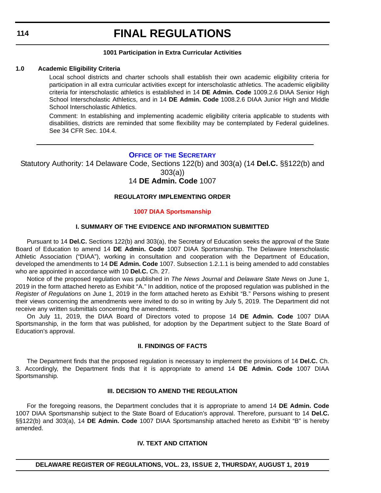#### **1001 Participation in Extra Curricular Activities**

#### <span id="page-37-0"></span>**1.0 Academic Eligibility Criteria**

Local school districts and charter schools shall establish their own academic eligibility criteria for participation in all extra curricular activities except for interscholastic athletics. The academic eligibility criteria for interscholastic athletics is established in 14 **DE Admin. Code** 1009.2.6 DIAA Senior High School Interscholastic Athletics, and in 14 **DE Admin. Code** 1008.2.6 DIAA Junior High and Middle School Interscholastic Athletics.

Comment: In establishing and implementing academic eligibility criteria applicable to students with disabilities, districts are reminded that some flexibility may be contemplated by Federal guidelines. See 34 CFR Sec. 104.4.

#### **OFFICE OF [THE SECRETARY](https://www.doe.k12.de.us/Page/11)**

Statutory Authority: 14 Delaware Code, Sections 122(b) and 303(a) (14 **Del.C.** §§122(b) and

303(a))

14 **DE Admin. Code** 1007

#### **REGULATORY IMPLEMENTING ORDER**

#### **[1007 DIAA Sportsmanship](#page-3-0)**

#### **I. SUMMARY OF THE EVIDENCE AND INFORMATION SUBMITTED**

Pursuant to 14 **Del.C.** Sections 122(b) and 303(a), the Secretary of Education seeks the approval of the State Board of Education to amend 14 **DE Admin. Code** 1007 DIAA Sportsmanship. The Delaware Interscholastic Athletic Association ("DIAA"), working in consultation and cooperation with the Department of Education, developed the amendments to 14 **DE Admin. Code** 1007. Subsection 1.2.1.1 is being amended to add constables who are appointed in accordance with 10 **Del.C.** Ch. 27.

Notice of the proposed regulation was published in *The News Journal* and *Delaware State News* on June 1, 2019 in the form attached hereto as Exhibit "A." In addition, notice of the proposed regulation was published in the *Register of Regulations* on June 1, 2019 in the form attached hereto as Exhibit "B." Persons wishing to present their views concerning the amendments were invited to do so in writing by July 5, 2019. The Department did not receive any written submittals concerning the amendments.

On July 11, 2019, the DIAA Board of Directors voted to propose 14 **DE Admin. Code** 1007 DIAA Sportsmanship, in the form that was published, for adoption by the Department subject to the State Board of Education's approval.

#### **II. FINDINGS OF FACTS**

The Department finds that the proposed regulation is necessary to implement the provisions of 14 **Del.C.** Ch. 3. Accordingly, the Department finds that it is appropriate to amend 14 **DE Admin. Code** 1007 DIAA Sportsmanship.

#### **III. DECISION TO AMEND THE REGULATION**

For the foregoing reasons, the Department concludes that it is appropriate to amend 14 **DE Admin. Code** 1007 DIAA Sportsmanship subject to the State Board of Education's approval. Therefore, pursuant to 14 **Del.C.** §§122(b) and 303(a), 14 **DE Admin. Code** 1007 DIAA Sportsmanship attached hereto as Exhibit "B" is hereby amended.

#### **IV. TEXT AND CITATION**

#### **DELAWARE REGISTER OF REGULATIONS, VOL. 23, ISSUE 2, THURSDAY, AUGUST 1, 2019**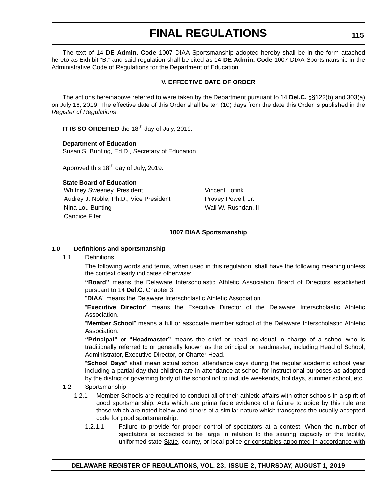The text of 14 **DE Admin. Code** 1007 DIAA Sportsmanship adopted hereby shall be in the form attached hereto as Exhibit "B," and said regulation shall be cited as 14 **DE Admin. Code** 1007 DIAA Sportsmanship in the Administrative Code of Regulations for the Department of Education.

#### **V. EFFECTIVE DATE OF ORDER**

The actions hereinabove referred to were taken by the Department pursuant to 14 **Del.C.** §§122(b) and 303(a) on July 18, 2019. The effective date of this Order shall be ten (10) days from the date this Order is published in the *Register of Regulations*.

**IT IS SO ORDERED** the 18<sup>th</sup> day of July, 2019.

#### **Department of Education**

Susan S. Bunting, Ed.D., Secretary of Education

Approved this  $18^{th}$  day of July, 2019.

**State Board of Education** Whitney Sweeney, President Vincent Lofink Audrey J. Noble, Ph.D., Vice President Provey Powell, Jr. Nina Lou Bunting Nina Lou Bunting Walles Allen Louis Mali W. Rushdan, II Candice Fifer

#### **1007 DIAA Sportsmanship**

#### **1.0 Definitions and Sportsmanship**

1.1 Definitions

The following words and terms, when used in this regulation, shall have the following meaning unless the context clearly indicates otherwise:

**"Board"** means the Delaware Interscholastic Athletic Association Board of Directors established pursuant to 14 **Del.C.** Chapter 3.

"**DIAA**" means the Delaware Interscholastic Athletic Association.

"**Executive Director**" means the Executive Director of the Delaware Interscholastic Athletic Association.

"**Member School**" means a full or associate member school of the Delaware Interscholastic Athletic Association.

**"Principal"** or **"Headmaster"** means the chief or head individual in charge of a school who is traditionally referred to or generally known as the principal or headmaster, including Head of School, Administrator, Executive Director, or Charter Head.

"**School Days**" shall mean actual school attendance days during the regular academic school year including a partial day that children are in attendance at school for instructional purposes as adopted by the district or governing body of the school not to include weekends, holidays, summer school, etc.

#### 1.2 Sportsmanship

- 1.2.1 Member Schools are required to conduct all of their athletic affairs with other schools in a spirit of good sportsmanship. Acts which are prima facie evidence of a failure to abide by this rule are those which are noted below and others of a similar nature which transgress the usually accepted code for good sportsmanship.
	- 1.2.1.1 Failure to provide for proper control of spectators at a contest. When the number of spectators is expected to be large in relation to the seating capacity of the facility, uniformed state State, county, or local police or constables appointed in accordance with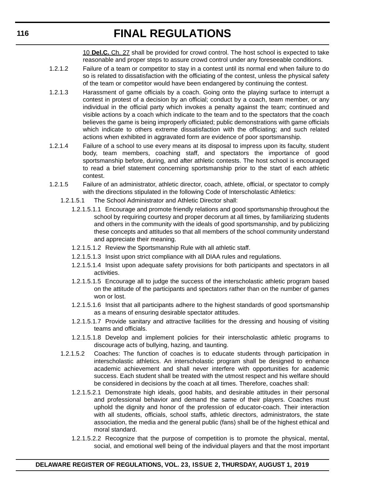10 **Del.C.** Ch. 27 shall be provided for crowd control. The host school is expected to take reasonable and proper steps to assure crowd control under any foreseeable conditions.

- 1.2.1.2 Failure of a team or competitor to stay in a contest until its normal end when failure to do so is related to dissatisfaction with the officiating of the contest, unless the physical safety of the team or competitor would have been endangered by continuing the contest.
- 1.2.1.3 Harassment of game officials by a coach. Going onto the playing surface to interrupt a contest in protest of a decision by an official; conduct by a coach, team member, or any individual in the official party which invokes a penalty against the team; continued and visible actions by a coach which indicate to the team and to the spectators that the coach believes the game is being improperly officiated; public demonstrations with game officials which indicate to others extreme dissatisfaction with the officiating; and such related actions when exhibited in aggravated form are evidence of poor sportsmanship.
- 1.2.1.4 Failure of a school to use every means at its disposal to impress upon its faculty, student body, team members, coaching staff, and spectators the importance of good sportsmanship before, during, and after athletic contests. The host school is encouraged to read a brief statement concerning sportsmanship prior to the start of each athletic contest.
- 1.2.1.5 Failure of an administrator, athletic director, coach, athlete, official, or spectator to comply with the directions stipulated in the following Code of Interscholastic Athletics:
	- 1.2.1.5.1 The School Administrator and Athletic Director shall:
		- 1.2.1.5.1.1 Encourage and promote friendly relations and good sportsmanship throughout the school by requiring courtesy and proper decorum at all times, by familiarizing students and others in the community with the ideals of good sportsmanship, and by publicizing these concepts and attitudes so that all members of the school community understand and appreciate their meaning.
		- 1.2.1.5.1.2 Review the Sportsmanship Rule with all athletic staff.
		- 1.2.1.5.1.3 Insist upon strict compliance with all DIAA rules and regulations.
		- 1.2.1.5.1.4 Insist upon adequate safety provisions for both participants and spectators in all activities.
		- 1.2.1.5.1.5 Encourage all to judge the success of the interscholastic athletic program based on the attitude of the participants and spectators rather than on the number of games won or lost.
		- 1.2.1.5.1.6 Insist that all participants adhere to the highest standards of good sportsmanship as a means of ensuring desirable spectator attitudes.
		- 1.2.1.5.1.7 Provide sanitary and attractive facilities for the dressing and housing of visiting teams and officials.
		- 1.2.1.5.1.8 Develop and implement policies for their interscholastic athletic programs to discourage acts of bullying, hazing, and taunting.
	- 1.2.1.5.2 Coaches: The function of coaches is to educate students through participation in interscholastic athletics. An interscholastic program shall be designed to enhance academic achievement and shall never interfere with opportunities for academic success. Each student shall be treated with the utmost respect and his welfare should be considered in decisions by the coach at all times. Therefore, coaches shall:
		- 1.2.1.5.2.1 Demonstrate high ideals, good habits, and desirable attitudes in their personal and professional behavior and demand the same of their players. Coaches must uphold the dignity and honor of the profession of educator-coach. Their interaction with all students, officials, school staffs, athletic directors, administrators, the state association, the media and the general public (fans) shall be of the highest ethical and moral standard.
		- 1.2.1.5.2.2 Recognize that the purpose of competition is to promote the physical, mental, social, and emotional well being of the individual players and that the most important

#### **DELAWARE REGISTER OF REGULATIONS, VOL. 23, ISSUE 2, THURSDAY, AUGUST 1, 2019**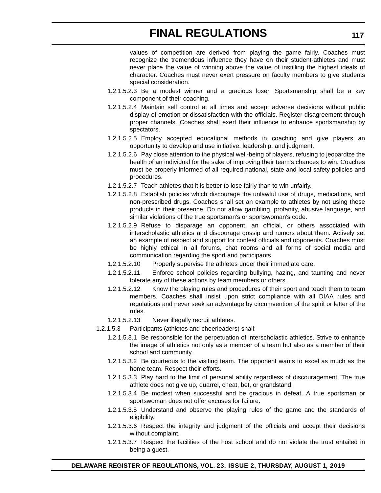values of competition are derived from playing the game fairly. Coaches must recognize the tremendous influence they have on their student-athletes and must never place the value of winning above the value of instilling the highest ideals of character. Coaches must never exert pressure on faculty members to give students special consideration.

- 1.2.1.5.2.3 Be a modest winner and a gracious loser. Sportsmanship shall be a key component of their coaching.
- 1.2.1.5.2.4 Maintain self control at all times and accept adverse decisions without public display of emotion or dissatisfaction with the officials. Register disagreement through proper channels. Coaches shall exert their influence to enhance sportsmanship by spectators.
- 1.2.1.5.2.5 Employ accepted educational methods in coaching and give players an opportunity to develop and use initiative, leadership, and judgment.
- 1.2.1.5.2.6 Pay close attention to the physical well-being of players, refusing to jeopardize the health of an individual for the sake of improving their team's chances to win. Coaches must be properly informed of all required national, state and local safety policies and procedures.
- 1.2.1.5.2.7 Teach athletes that it is better to lose fairly than to win unfairly.
- 1.2.1.5.2.8 Establish policies which discourage the unlawful use of drugs, medications, and non-prescribed drugs. Coaches shall set an example to athletes by not using these products in their presence. Do not allow gambling, profanity, abusive language, and similar violations of the true sportsman's or sportswoman's code.
- 1.2.1.5.2.9 Refuse to disparage an opponent, an official, or others associated with interscholastic athletics and discourage gossip and rumors about them. Actively set an example of respect and support for contest officials and opponents. Coaches must be highly ethical in all forums, chat rooms and all forms of social media and communication regarding the sport and participants.
- 1.2.1.5.2.10 Properly supervise the athletes under their immediate care.
- 1.2.1.5.2.11 Enforce school policies regarding bullying, hazing, and taunting and never tolerate any of these actions by team members or others.
- 1.2.1.5.2.12 Know the playing rules and procedures of their sport and teach them to team members. Coaches shall insist upon strict compliance with all DIAA rules and regulations and never seek an advantage by circumvention of the spirit or letter of the rules.
- 1.2.1.5.2.13 Never illegally recruit athletes.
- 1.2.1.5.3 Participants (athletes and cheerleaders) shall:
	- 1.2.1.5.3.1 Be responsible for the perpetuation of interscholastic athletics. Strive to enhance the image of athletics not only as a member of a team but also as a member of their school and community.
	- 1.2.1.5.3.2 Be courteous to the visiting team. The opponent wants to excel as much as the home team. Respect their efforts.
	- 1.2.1.5.3.3 Play hard to the limit of personal ability regardless of discouragement. The true athlete does not give up, quarrel, cheat, bet, or grandstand.
	- 1.2.1.5.3.4 Be modest when successful and be gracious in defeat. A true sportsman or sportswoman does not offer excuses for failure.
	- 1.2.1.5.3.5 Understand and observe the playing rules of the game and the standards of eligibility.
	- 1.2.1.5.3.6 Respect the integrity and judgment of the officials and accept their decisions without complaint.
	- 1.2.1.5.3.7 Respect the facilities of the host school and do not violate the trust entailed in being a guest.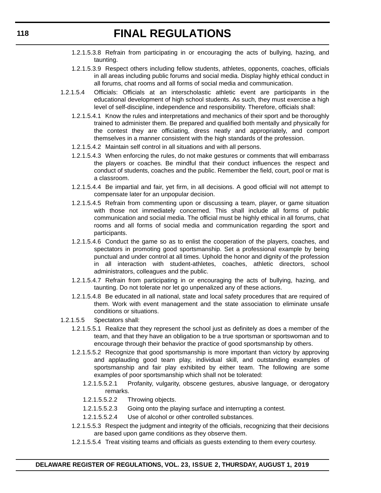- 1.2.1.5.3.8 Refrain from participating in or encouraging the acts of bullying, hazing, and taunting.
- 1.2.1.5.3.9 Respect others including fellow students, athletes, opponents, coaches, officials in all areas including public forums and social media. Display highly ethical conduct in all forums, chat rooms and all forms of social media and communication.
- 1.2.1.5.4 Officials: Officials at an interscholastic athletic event are participants in the educational development of high school students. As such, they must exercise a high level of self-discipline, independence and responsibility. Therefore, officials shall:
	- 1.2.1.5.4.1 Know the rules and interpretations and mechanics of their sport and be thoroughly trained to administer them. Be prepared and qualified both mentally and physically for the contest they are officiating, dress neatly and appropriately, and comport themselves in a manner consistent with the high standards of the profession.
	- 1.2.1.5.4.2 Maintain self control in all situations and with all persons.
	- 1.2.1.5.4.3 When enforcing the rules, do not make gestures or comments that will embarrass the players or coaches. Be mindful that their conduct influences the respect and conduct of students, coaches and the public. Remember the field, court, pool or mat is a classroom.
	- 1.2.1.5.4.4 Be impartial and fair, yet firm, in all decisions. A good official will not attempt to compensate later for an unpopular decision.
	- 1.2.1.5.4.5 Refrain from commenting upon or discussing a team, player, or game situation with those not immediately concerned. This shall include all forms of public communication and social media. The official must be highly ethical in all forums, chat rooms and all forms of social media and communication regarding the sport and participants.
	- 1.2.1.5.4.6 Conduct the game so as to enlist the cooperation of the players, coaches, and spectators in promoting good sportsmanship. Set a professional example by being punctual and under control at all times. Uphold the honor and dignity of the profession in all interaction with student-athletes, coaches, athletic directors, school administrators, colleagues and the public.
	- 1.2.1.5.4.7 Refrain from participating in or encouraging the acts of bullying, hazing, and taunting. Do not tolerate nor let go unpenalized any of these actions.
	- 1.2.1.5.4.8 Be educated in all national, state and local safety procedures that are required of them. Work with event management and the state association to eliminate unsafe conditions or situations.
- 1.2.1.5.5 Spectators shall:
	- 1.2.1.5.5.1 Realize that they represent the school just as definitely as does a member of the team, and that they have an obligation to be a true sportsman or sportswoman and to encourage through their behavior the practice of good sportsmanship by others.
	- 1.2.1.5.5.2 Recognize that good sportsmanship is more important than victory by approving and applauding good team play, individual skill, and outstanding examples of sportsmanship and fair play exhibited by either team. The following are some examples of poor sportsmanship which shall not be tolerated:
		- 1.2.1.5.5.2.1 Profanity, vulgarity, obscene gestures, abusive language, or derogatory remarks.
		- 1.2.1.5.5.2.2 Throwing objects.
		- 1.2.1.5.5.2.3 Going onto the playing surface and interrupting a contest.
		- 1.2.1.5.5.2.4 Use of alcohol or other controlled substances.
	- 1.2.1.5.5.3 Respect the judgment and integrity of the officials, recognizing that their decisions are based upon game conditions as they observe them.
	- 1.2.1.5.5.4 Treat visiting teams and officials as guests extending to them every courtesy.

#### **DELAWARE REGISTER OF REGULATIONS, VOL. 23, ISSUE 2, THURSDAY, AUGUST 1, 2019**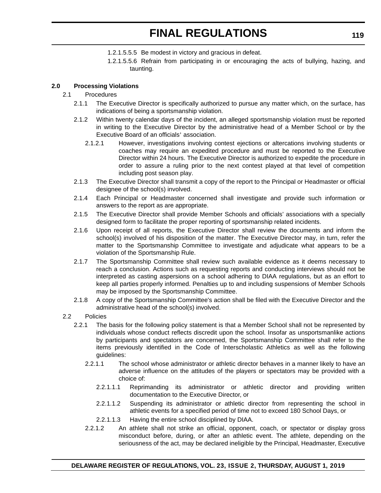- 1.2.1.5.5.5 Be modest in victory and gracious in defeat.
- 1.2.1.5.5.6 Refrain from participating in or encouraging the acts of bullying, hazing, and taunting.

#### **2.0 Processing Violations**

#### 2.1 Procedures

- 2.1.1 The Executive Director is specifically authorized to pursue any matter which, on the surface, has indications of being a sportsmanship violation.
- 2.1.2 Within twenty calendar days of the incident, an alleged sportsmanship violation must be reported in writing to the Executive Director by the administrative head of a Member School or by the Executive Board of an officials' association.
	- 2.1.2.1 However, investigations involving contest ejections or altercations involving students or coaches may require an expedited procedure and must be reported to the Executive Director within 24 hours. The Executive Director is authorized to expedite the procedure in order to assure a ruling prior to the next contest played at that level of competition including post season play.
- 2.1.3 The Executive Director shall transmit a copy of the report to the Principal or Headmaster or official designee of the school(s) involved.
- 2.1.4 Each Principal or Headmaster concerned shall investigate and provide such information or answers to the report as are appropriate.
- 2.1.5 The Executive Director shall provide Member Schools and officials' associations with a specially designed form to facilitate the proper reporting of sportsmanship related incidents.
- 2.1.6 Upon receipt of all reports, the Executive Director shall review the documents and inform the school(s) involved of his disposition of the matter. The Executive Director may, in turn, refer the matter to the Sportsmanship Committee to investigate and adjudicate what appears to be a violation of the Sportsmanship Rule.
- 2.1.7 The Sportsmanship Committee shall review such available evidence as it deems necessary to reach a conclusion. Actions such as requesting reports and conducting interviews should not be interpreted as casting aspersions on a school adhering to DIAA regulations, but as an effort to keep all parties properly informed. Penalties up to and including suspensions of Member Schools may be imposed by the Sportsmanship Committee.
- 2.1.8 A copy of the Sportsmanship Committee's action shall be filed with the Executive Director and the administrative head of the school(s) involved.
- 2.2 Policies
	- 2.2.1 The basis for the following policy statement is that a Member School shall not be represented by individuals whose conduct reflects discredit upon the school. Insofar as unsportsmanlike actions by participants and spectators are concerned, the Sportsmanship Committee shall refer to the items previously identified in the Code of Interscholastic Athletics as well as the following guidelines:
		- 2.2.1.1 The school whose administrator or athletic director behaves in a manner likely to have an adverse influence on the attitudes of the players or spectators may be provided with a choice of:
			- 2.2.1.1.1 Reprimanding its administrator or athletic director and providing written documentation to the Executive Director, or
			- 2.2.1.1.2 Suspending its administrator or athletic director from representing the school in athletic events for a specified period of time not to exceed 180 School Days, or
		- 2.2.1.1.3 Having the entire school disciplined by DIAA.
		- 2.2.1.2 An athlete shall not strike an official, opponent, coach, or spectator or display gross misconduct before, during, or after an athletic event. The athlete, depending on the seriousness of the act, may be declared ineligible by the Principal, Headmaster, Executive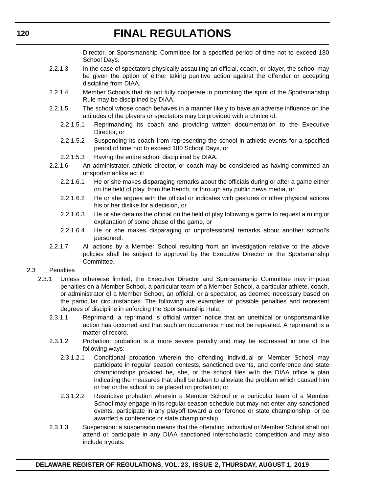Director, or Sportsmanship Committee for a specified period of time not to exceed 180 School Days.

- 2.2.1.3 In the case of spectators physically assaulting an official, coach, or player, the school may be given the option of either taking punitive action against the offender or accepting discipline from DIAA.
- 2.2.1.4 Member Schools that do not fully cooperate in promoting the spirit of the Sportsmanship Rule may be disciplined by DIAA.
- 2.2.1.5 The school whose coach behaves in a manner likely to have an adverse influence on the attitudes of the players or spectators may be provided with a choice of:
	- 2.2.1.5.1 Reprimanding its coach and providing written documentation to the Executive Director, or
	- 2.2.1.5.2 Suspending its coach from representing the school in athletic events for a specified period of time not to exceed 180 School Days, or
	- 2.2.1.5.3 Having the entire school disciplined by DIAA.
- 2.2.1.6 An administrator, athletic director, or coach may be considered as having committed an unsportsmanlike act if:
	- 2.2.1.6.1 He or she makes disparaging remarks about the officials during or after a game either on the field of play, from the bench, or through any public news media, or
	- 2.2.1.6.2 He or she argues with the official or indicates with gestures or other physical actions his or her dislike for a decision, or
	- 2.2.1.6.3 He or she detains the official on the field of play following a game to request a ruling or explanation of some phase of the game, or
	- 2.2.1.6.4 He or she makes disparaging or unprofessional remarks about another school's personnel.
- 2.2.1.7 All actions by a Member School resulting from an investigation relative to the above policies shall be subject to approval by the Executive Director or the Sportsmanship Committee.
- 2.3 Penalties
	- 2.3.1 Unless otherwise limited, the Executive Director and Sportsmanship Committee may impose penalties on a Member School, a particular team of a Member School, a particular athlete, coach, or administrator of a Member School, an official, or a spectator, as deemed necessary based on the particular circumstances. The following are examples of possible penalties and represent degrees of discipline in enforcing the Sportsmanship Rule:
		- 2.3.1.1 Reprimand: a reprimand is official written notice that an unethical or unsportsmanlike action has occurred and that such an occurrence must not be repeated. A reprimand is a matter of record.
		- 2.3.1.2 Probation: probation is a more severe penalty and may be expressed in one of the following ways:
			- 2.3.1.2.1 Conditional probation wherein the offending individual or Member School may participate in regular season contests, sanctioned events, and conference and state championships provided he, she, or the school files with the DIAA office a plan indicating the measures that shall be taken to alleviate the problem which caused him or her or the school to be placed on probation; or
			- 2.3.1.2.2 Restrictive probation wherein a Member School or a particular team of a Member School may engage in its regular season schedule but may not enter any sanctioned events, participate in any playoff toward a conference or state championship, or be awarded a conference or state championship.
		- 2.3.1.3 Suspension: a suspension means that the offending individual or Member School shall not attend or participate in any DIAA sanctioned interscholastic competition and may also include tryouts.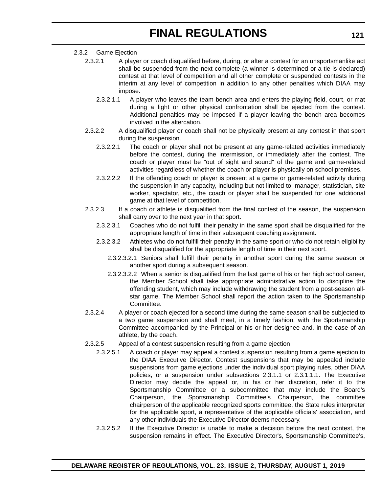#### 2.3.2 Game Ejection

- 2.3.2.1 A player or coach disqualified before, during, or after a contest for an unsportsmanlike act shall be suspended from the next complete (a winner is determined or a tie is declared) contest at that level of competition and all other complete or suspended contests in the interim at any level of competition in addition to any other penalties which DIAA may impose.
	- 2.3.2.1.1 A player who leaves the team bench area and enters the playing field, court, or mat during a fight or other physical confrontation shall be ejected from the contest. Additional penalties may be imposed if a player leaving the bench area becomes involved in the altercation.
- 2.3.2.2 A disqualified player or coach shall not be physically present at any contest in that sport during the suspension.
	- 2.3.2.2.1 The coach or player shall not be present at any game-related activities immediately before the contest, during the intermission, or immediately after the contest. The coach or player must be "out of sight and sound" of the game and game-related activities regardless of whether the coach or player is physically on school premises.
	- 2.3.2.2.2 If the offending coach or player is present at a game or game-related activity during the suspension in any capacity, including but not limited to: manager, statistician, site worker, spectator, etc., the coach or player shall be suspended for one additional game at that level of competition.
- 2.3.2.3 If a coach or athlete is disqualified from the final contest of the season, the suspension shall carry over to the next year in that sport.
	- 2.3.2.3.1 Coaches who do not fulfill their penalty in the same sport shall be disqualified for the appropriate length of time in their subsequent coaching assignment.
	- 2.3.2.3.2 Athletes who do not fulfill their penalty in the same sport or who do not retain eligibility shall be disqualified for the appropriate length of time in their next sport.
		- 2.3.2.3.2.1 Seniors shall fulfill their penalty in another sport during the same season or another sport during a subsequent season.
		- 2.3.2.3.2.2 When a senior is disqualified from the last game of his or her high school career, the Member School shall take appropriate administrative action to discipline the offending student, which may include withdrawing the student from a post-season allstar game. The Member School shall report the action taken to the Sportsmanship Committee.
- 2.3.2.4 A player or coach ejected for a second time during the same season shall be subjected to a two game suspension and shall meet, in a timely fashion, with the Sportsmanship Committee accompanied by the Principal or his or her designee and, in the case of an athlete, by the coach.
- 2.3.2.5 Appeal of a contest suspension resulting from a game ejection
	- 2.3.2.5.1 A coach or player may appeal a contest suspension resulting from a game ejection to the DIAA Executive Director. Contest suspensions that may be appealed include suspensions from game ejections under the individual sport playing rules, other DIAA policies, or a suspension under subsections 2.3.1.1 or 2.3.1.1.1. The Executive Director may decide the appeal or, in his or her discretion, refer it to the Sportsmanship Committee or a subcommittee that may include the Board's Chairperson, the Sportsmanship Committee's Chairperson, the committee chairperson of the applicable recognized sports committee, the State rules interpreter for the applicable sport, a representative of the applicable officials' association, and any other individuals the Executive Director deems necessary.
	- 2.3.2.5.2 If the Executive Director is unable to make a decision before the next contest, the suspension remains in effect. The Executive Director's, Sportsmanship Committee's,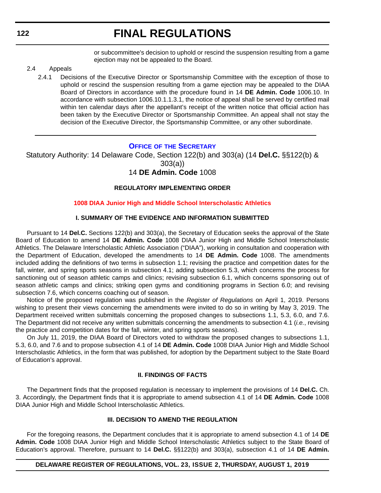or subcommittee's decision to uphold or rescind the suspension resulting from a game ejection may not be appealed to the Board.

#### <span id="page-45-0"></span>2.4 Appeals

2.4.1 Decisions of the Executive Director or Sportsmanship Committee with the exception of those to uphold or rescind the suspension resulting from a game ejection may be appealed to the DIAA Board of Directors in accordance with the procedure found in 14 **DE Admin. Code** 1006.10. In accordance with subsection 1006.10.1.1.3.1, the notice of appeal shall be served by certified mail within ten calendar days after the appellant's receipt of the written notice that official action has been taken by the Executive Director or Sportsmanship Committee. An appeal shall not stay the decision of the Executive Director, the Sportsmanship Committee, or any other subordinate.

#### **OFFICE OF [THE SECRETARY](https://www.doe.k12.de.us/Page/11)**

Statutory Authority: 14 Delaware Code, Section 122(b) and 303(a) (14 **Del.C.** §§122(b) & 303(a)) 14 **DE Admin. Code** 1008

#### **REGULATORY IMPLEMENTING ORDER**

#### **[1008 DIAA Junior High and Middle School Interscholastic Athletics](#page-3-0)**

#### **I. SUMMARY OF THE EVIDENCE AND INFORMATION SUBMITTED**

Pursuant to 14 **Del.C.** Sections 122(b) and 303(a), the Secretary of Education seeks the approval of the State Board of Education to amend 14 **DE Admin. Code** 1008 DIAA Junior High and Middle School Interscholastic Athletics. The Delaware Interscholastic Athletic Association ("DIAA"), working in consultation and cooperation with the Department of Education, developed the amendments to 14 **DE Admin. Code** 1008. The amendments included adding the definitions of two terms in subsection 1.1; revising the practice and competition dates for the fall, winter, and spring sports seasons in subsection 4.1; adding subsection 5.3, which concerns the process for sanctioning out of season athletic camps and clinics; revising subsection 6.1, which concerns sponsoring out of season athletic camps and clinics; striking open gyms and conditioning programs in Section 6.0; and revising subsection 7.6, which concerns coaching out of season.

Notice of the proposed regulation was published in the *Register of Regulations* on April 1, 2019. Persons wishing to present their views concerning the amendments were invited to do so in writing by May 3, 2019. The Department received written submittals concerning the proposed changes to subsections 1.1, 5.3, 6.0, and 7.6. The Department did not receive any written submittals concerning the amendments to subsection 4.1 (*i.e.*, revising the practice and competition dates for the fall, winter, and spring sports seasons).

On July 11, 2019, the DIAA Board of Directors voted to withdraw the proposed changes to subsections 1.1, 5.3, 6.0, and 7.6 and to propose subsection 4.1 of 14 **DE Admin. Code** 1008 DIAA Junior High and Middle School Interscholastic Athletics, in the form that was published, for adoption by the Department subject to the State Board of Education's approval.

#### **II. FINDINGS OF FACTS**

The Department finds that the proposed regulation is necessary to implement the provisions of 14 **Del.C.** Ch. 3. Accordingly, the Department finds that it is appropriate to amend subsection 4.1 of 14 **DE Admin. Code** 1008 DIAA Junior High and Middle School Interscholastic Athletics.

#### **III. DECISION TO AMEND THE REGULATION**

For the foregoing reasons, the Department concludes that it is appropriate to amend subsection 4.1 of 14 **DE Admin. Code** 1008 DIAA Junior High and Middle School Interscholastic Athletics subject to the State Board of Education's approval. Therefore, pursuant to 14 **Del.C.** §§122(b) and 303(a), subsection 4.1 of 14 **DE Admin.**

#### **DELAWARE REGISTER OF REGULATIONS, VOL. 23, ISSUE 2, THURSDAY, AUGUST 1, 2019**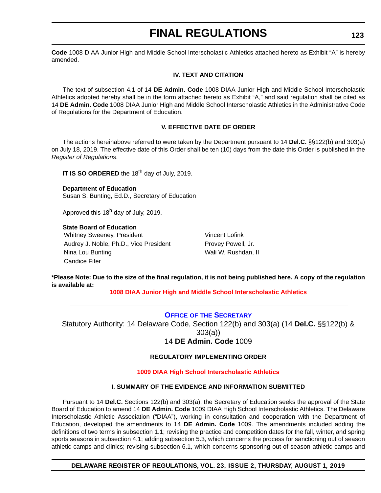<span id="page-46-0"></span>**Code** 1008 DIAA Junior High and Middle School Interscholastic Athletics attached hereto as Exhibit "A" is hereby amended.

#### **IV. TEXT AND CITATION**

The text of subsection 4.1 of 14 **DE Admin. Code** 1008 DIAA Junior High and Middle School Interscholastic Athletics adopted hereby shall be in the form attached hereto as Exhibit "A," and said regulation shall be cited as 14 **DE Admin. Code** 1008 DIAA Junior High and Middle School Interscholastic Athletics in the Administrative Code of Regulations for the Department of Education.

#### **V. EFFECTIVE DATE OF ORDER**

The actions hereinabove referred to were taken by the Department pursuant to 14 **Del.C.** §§122(b) and 303(a) on July 18, 2019. The effective date of this Order shall be ten (10) days from the date this Order is published in the *Register of Regulations*.

**IT IS SO ORDERED** the 18<sup>th</sup> day of July, 2019.

**Department of Education** Susan S. Bunting, Ed.D., Secretary of Education

Approved this  $18<sup>h</sup>$  day of July, 2019.

#### **State Board of Education**

Whitney Sweeney, President Vincent Lofink Audrey J. Noble, Ph.D., Vice President Provey Powell, Jr. Nina Lou Bunting Nina Lou Bunting Walles Allen Louis Mali W. Rushdan, II Candice Fifer

**\*Please Note: Due to the size of the final regulation, it is not being published here. A copy of the regulation is available at:**

**[1008 DIAA Junior High and Middle School Interscholastic Athletics](http://regulations.delaware.gov/register/august2019/final/23 DE Reg 122 08-01-19.htm)**

#### **OFFICE OF [THE SECRETARY](https://www.doe.k12.de.us/Page/11)**

Statutory Authority: 14 Delaware Code, Section 122(b) and 303(a) (14 **Del.C.** §§122(b) & 303(a)) 14 **DE Admin. Code** 1009

#### **REGULATORY IMPLEMENTING ORDER**

#### **[1009 DIAA High School Interscholastic Athletics](#page-3-0)**

#### **I. SUMMARY OF THE EVIDENCE AND INFORMATION SUBMITTED**

Pursuant to 14 **Del.C.** Sections 122(b) and 303(a), the Secretary of Education seeks the approval of the State Board of Education to amend 14 **DE Admin. Code** 1009 DIAA High School Interscholastic Athletics. The Delaware Interscholastic Athletic Association ("DIAA"), working in consultation and cooperation with the Department of Education, developed the amendments to 14 **DE Admin. Code** 1009. The amendments included adding the definitions of two terms in subsection 1.1; revising the practice and competition dates for the fall, winter, and spring sports seasons in subsection 4.1; adding subsection 5.3, which concerns the process for sanctioning out of season athletic camps and clinics; revising subsection 6.1, which concerns sponsoring out of season athletic camps and

#### **DELAWARE REGISTER OF REGULATIONS, VOL. 23, ISSUE 2, THURSDAY, AUGUST 1, 2019**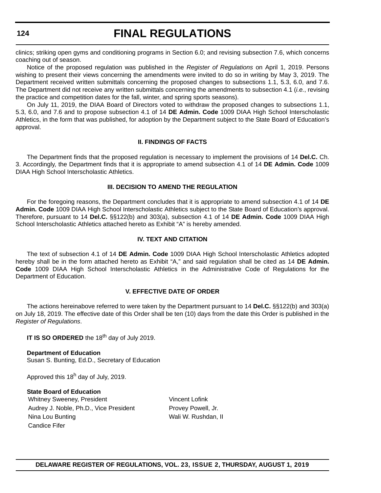clinics; striking open gyms and conditioning programs in Section 6.0; and revising subsection 7.6, which concerns coaching out of season.

Notice of the proposed regulation was published in the *Register of Regulations* on April 1, 2019. Persons wishing to present their views concerning the amendments were invited to do so in writing by May 3, 2019. The Department received written submittals concerning the proposed changes to subsections 1.1, 5.3, 6.0, and 7.6. The Department did not receive any written submittals concerning the amendments to subsection 4.1 (*i.e.*, revising the practice and competition dates for the fall, winter, and spring sports seasons).

On July 11, 2019, the DIAA Board of Directors voted to withdraw the proposed changes to subsections 1.1, 5.3, 6.0, and 7.6 and to propose subsection 4.1 of 14 **DE Admin. Code** 1009 DIAA High School Interscholastic Athletics, in the form that was published, for adoption by the Department subject to the State Board of Education's approval.

#### **II. FINDINGS OF FACTS**

The Department finds that the proposed regulation is necessary to implement the provisions of 14 **Del.C.** Ch. 3. Accordingly, the Department finds that it is appropriate to amend subsection 4.1 of 14 **DE Admin. Code** 1009 DIAA High School Interscholastic Athletics.

#### **III. DECISION TO AMEND THE REGULATION**

For the foregoing reasons, the Department concludes that it is appropriate to amend subsection 4.1 of 14 **DE Admin. Code** 1009 DIAA High School Interscholastic Athletics subject to the State Board of Education's approval. Therefore, pursuant to 14 **Del.C.** §§122(b) and 303(a), subsection 4.1 of 14 **DE Admin. Code** 1009 DIAA High School Interscholastic Athletics attached hereto as Exhibit "A" is hereby amended.

#### **IV. TEXT AND CITATION**

The text of subsection 4.1 of 14 **DE Admin. Code** 1009 DIAA High School Interscholastic Athletics adopted hereby shall be in the form attached hereto as Exhibit "A," and said regulation shall be cited as 14 **DE Admin. Code** 1009 DIAA High School Interscholastic Athletics in the Administrative Code of Regulations for the Department of Education.

#### **V. EFFECTIVE DATE OF ORDER**

The actions hereinabove referred to were taken by the Department pursuant to 14 **Del.C.** §§122(b) and 303(a) on July 18, 2019. The effective date of this Order shall be ten (10) days from the date this Order is published in the *Register of Regulations*.

**IT IS SO ORDERED** the 18<sup>th</sup> day of July 2019.

**Department of Education** Susan S. Bunting, Ed.D., Secretary of Education

Approved this  $18<sup>h</sup>$  day of July, 2019.

#### **State Board of Education**

Whitney Sweeney, President Vincent Lofink Audrey J. Noble, Ph.D., Vice President Provey Powell, Jr. Nina Lou Bunting Nina Lou Bunting Wall W. Rushdan, II Candice Fifer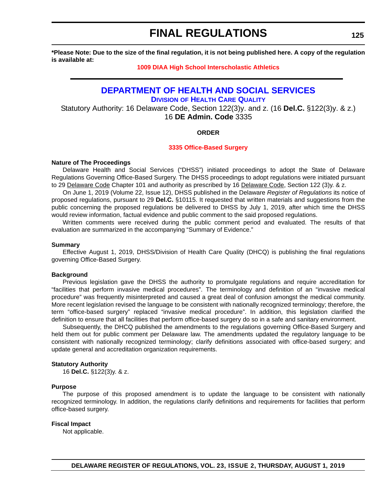<span id="page-48-0"></span>**\*Please Note: Due to the size of the final regulation, it is not being published here. A copy of the regulation is available at:**

#### **[1009 DIAA High School Interscholastic Athletics](http://regulations.delaware.gov/register/august2019/final/23 DE Reg 123 08-01-19.htm)**

### **[DEPARTMENT OF HEALTH AND SOCIAL SERVICES](https://www.dhss.delaware.gov/dhss/index.html)**

**DIVISION [OF HEALTH CARE QUALITY](https://www.dhss.delaware.gov/dhss/dltcrp/)**

Statutory Authority: 16 Delaware Code, Section 122(3)y. and z. (16 **Del.C.** §122(3)y. & z.) 16 **DE Admin. Code** 3335

#### **ORDER**

#### **[3335 Office-Based Surgery](#page-3-0)**

#### **Nature of The Proceedings**

Delaware Health and Social Services ("DHSS") initiated proceedings to adopt the State of Delaware Regulations Governing Office-Based Surgery. The DHSS proceedings to adopt regulations were initiated pursuant to 29 Delaware Code Chapter 101 and authority as prescribed by 16 Delaware Code, Section 122 (3)y. & z.

On June 1, 2019 (Volume 22, Issue 12), DHSS published in the Delaware *Register of Regulations* its notice of proposed regulations, pursuant to 29 **Del.C.** §10115. It requested that written materials and suggestions from the public concerning the proposed regulations be delivered to DHSS by July 1, 2019, after which time the DHSS would review information, factual evidence and public comment to the said proposed regulations.

Written comments were received during the public comment period and evaluated. The results of that evaluation are summarized in the accompanying "Summary of Evidence."

#### **Summary**

Effective August 1, 2019, DHSS/Division of Health Care Quality (DHCQ) is publishing the final regulations governing Office-Based Surgery.

#### **Background**

Previous legislation gave the DHSS the authority to promulgate regulations and require accreditation for "facilities that perform invasive medical procedures". The terminology and definition of an "invasive medical procedure" was frequently misinterpreted and caused a great deal of confusion amongst the medical community. More recent legislation revised the language to be consistent with nationally recognized terminology; therefore, the term "office-based surgery" replaced "invasive medical procedure". In addition, this legislation clarified the definition to ensure that all facilities that perform office-based surgery do so in a safe and sanitary environment.

Subsequently, the DHCQ published the amendments to the regulations governing Office-Based Surgery and held them out for public comment per Delaware law. The amendments updated the regulatory language to be consistent with nationally recognized terminology; clarify definitions associated with office-based surgery; and update general and accreditation organization requirements.

#### **Statutory Authority**

16 **Del.C.** §122(3)y. & z.

#### **Purpose**

The purpose of this proposed amendment is to update the language to be consistent with nationally recognized terminology. In addition, the regulations clarify definitions and requirements for facilities that perform office-based surgery.

#### **Fiscal Impact**

Not applicable.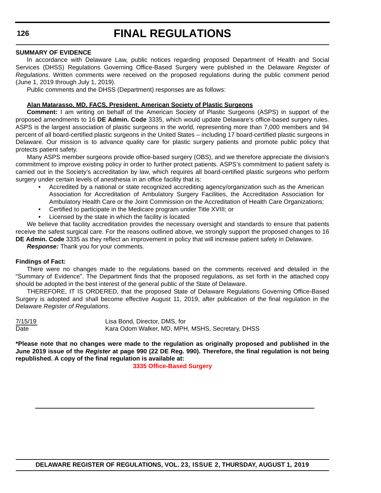#### **SUMMARY OF EVIDENCE**

In accordance with Delaware Law, public notices regarding proposed Department of Health and Social Services (DHSS) Regulations Governing Office-Based Surgery were published in the Delaware *Register of Regulations*. Written comments were received on the proposed regulations during the public comment period (June 1, 2019 through July 1, 2019).

Public comments and the DHSS (Department) responses are as follows:

#### **Alan Matarasso, MD, FACS, President, American Society of Plastic Surgeons**

**Comment:** I am writing on behalf of the American Society of Plastic Surgeons (ASPS) in support of the proposed amendments to 16 **DE Admin. Code** 3335, which would update Delaware's office-based surgery rules. ASPS is the largest association of plastic surgeons in the world, representing more than 7,000 members and 94 percent of all board-certified plastic surgeons in the United States – including 17 board-certified plastic surgeons in Delaware. Our mission is to advance quality care for plastic surgery patients and promote public policy that protects patient safety.

Many ASPS member surgeons provide office-based surgery (OBS), and we therefore appreciate the division's commitment to improve existing policy in order to further protect patients. ASPS's commitment to patient safety is carried out in the Society's accreditation by law, which requires all board-certified plastic surgeons who perform surgery under certain levels of anesthesia in an office facility that is:

- Accredited by a national or state recognized accrediting agency/organization such as the American Association for Accreditation of Ambulatory Surgery Facilities, the Accreditation Association for Ambulatory Health Care or the Joint Commission on the Accreditation of Health Care Organizations;
- Certified to participate in the Medicare program under Title XVIII; or
- Licensed by the state in which the facility is located

We believe that facility accreditation provides the necessary oversight and standards to ensure that patients receive the safest surgical care. For the reasons outlined above, we strongly support the proposed changes to 16 **DE Admin. Code** 3335 as they reflect an improvement in policy that will increase patient safety in Delaware.

*Response:* Thank you for your comments.

#### **Findings of Fact:**

There were no changes made to the regulations based on the comments received and detailed in the "Summary of Evidence". The Department finds that the proposed regulations, as set forth in the attached copy should be adopted in the best interest of the general public of the State of Delaware.

THEREFORE, IT IS ORDERED, that the proposed State of Delaware Regulations Governing Office-Based Surgery is adopted and shall become effective August 11, 2019, after publication of the final regulation in the Delaware *Register of Regulations*.

7/15/19 Lisa Bond, Director, DMS, for Date **Kara Odom Walker, MD, MPH, MSHS, Secretary, DHSS** 

**\*Please note that no changes were made to the regulation as originally proposed and published in the June 2019 issue of the** *Register* **at page 990 (22 DE Reg. 990). Therefore, the final regulation is not being republished. A copy of the final regulation is available at:**

**[3335 Office-Based Surgery](http://regulations.delaware.gov/register/august2019/final/23 DE Reg 125 08-01-19.htm)**

```
126
```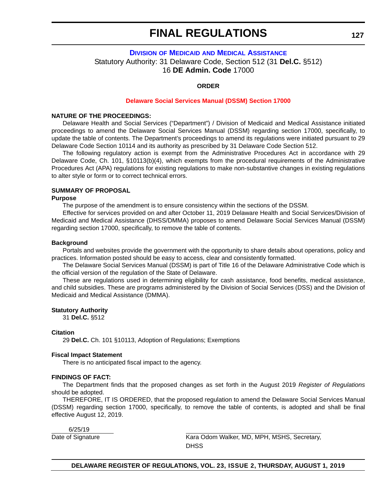#### <span id="page-50-0"></span>**DIVISION OF MEDICAID [AND MEDICAL ASSISTANCE](https://www.dhss.delaware.gov/dhss/dmma/)** Statutory Authority: 31 Delaware Code, Section 512 (31 **Del.C.** §512) 16 **DE Admin. Code** 17000

#### **ORDER**

#### **[Delaware Social Services Manual \(DSSM\) Section 17000](#page-3-0)**

#### **NATURE OF THE PROCEEDINGS:**

Delaware Health and Social Services ("Department") / Division of Medicaid and Medical Assistance initiated proceedings to amend the Delaware Social Services Manual (DSSM) regarding section 17000, specifically, to update the table of contents. The Department's proceedings to amend its regulations were initiated pursuant to 29 Delaware Code Section 10114 and its authority as prescribed by 31 Delaware Code Section 512.

The following regulatory action is exempt from the Administrative Procedures Act in accordance with 29 Delaware Code, Ch. 101, §10113(b)(4), which exempts from the procedural requirements of the Administrative Procedures Act (APA) regulations for existing regulations to make non-substantive changes in existing regulations to alter style or form or to correct technical errors.

#### **SUMMARY OF PROPOSAL**

#### **Purpose**

The purpose of the amendment is to ensure consistency within the sections of the DSSM.

Effective for services provided on and after October 11, 2019 Delaware Health and Social Services/Division of Medicaid and Medical Assistance (DHSS/DMMA) proposes to amend Delaware Social Services Manual (DSSM) regarding section 17000, specifically, to remove the table of contents.

#### **Background**

Portals and websites provide the government with the opportunity to share details about operations, policy and practices. Information posted should be easy to access, clear and consistently formatted.

The Delaware Social Services Manual (DSSM) is part of Title 16 of the Delaware Administrative Code which is the official version of the regulation of the State of Delaware.

These are regulations used in determining eligibility for cash assistance, food benefits, medical assistance, and child subsidies. These are programs administered by the Division of Social Services (DSS) and the Division of Medicaid and Medical Assistance (DMMA).

#### **Statutory Authority**

31 **Del.C.** §512

#### **Citation**

29 **Del.C.** Ch. 101 §10113, Adoption of Regulations; Exemptions

#### **Fiscal Impact Statement**

There is no anticipated fiscal impact to the agency.

#### **FINDINGS OF FACT:**

The Department finds that the proposed changes as set forth in the August 2019 *Register of Regulations* should be adopted.

THEREFORE, IT IS ORDERED, that the proposed regulation to amend the Delaware Social Services Manual (DSSM) regarding section 17000, specifically, to remove the table of contents, is adopted and shall be final effective August 12, 2019.

6/25/19

Date of Signature **Kara Odom Walker, MD, MPH, MSHS, Secretary,** Kara Odom Walker, MD, MPH, MSHS, Secretary, **DHSS**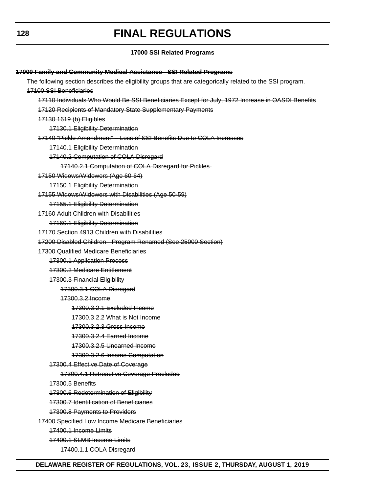#### **17000 SSI Related Programs**

**17000 Family and Community Medical Assistance - SSI Related Programs** The following section describes the eligibility groups that are categorically related to the SSI program. 17100 SSI Beneficiaries 17110 Individuals Who Would Be SSI Beneficiaries Except for July, 1972 Increase in OASDI Benefits 17120 Recipients of Mandatory State Supplementary Payments 17130 1619 (b) Eligibles 17130.1 Eligibility Determination 17140 "Pickle Amendment" – Loss of SSI Benefits Due to COLA Increases 17140.1 Eligibility Determination 17140.2 Computation of COLA Disregard 17140.2.1 Computation of COLA Disregard for Pickles 17150 Widows/Widowers (Age 60-64) 17150.1 Eligibility Determination 17155 Widows/Widowers with Disabilities (Age 50-59) 17155.1 Eligibility Determination 17160 Adult Children with Disabilities 17160.1 Eligibility Determination 17170 Section 4913 Children with Disabilities 17200 Disabled Children - Program Renamed (See 25000 Section) 17300 Qualified Medicare Beneficiaries 17300.1 Application Process 17300.2 Medicare Entitlement 17300.3 Financial Eligibility 17300.3.1 COLA Disregard 17300.3.2 Income 17300.3.2.1 Excluded Income 17300.3.2.2 What is Not Income 17300.3.2.3 Gross Income 17300.3.2.4 Earned Income 17300.3.2.5 Unearned Income 17300.3.2.6 Income Computation 17300.4 Effective Date of Coverage 17300.4.1 Retroactive Coverage Precluded 17300.5 Benefits 17300.6 Redetermination of Eligibility 17300.7 Identification of Beneficiaries 17300.8 Payments to Providers 17400 Specified Low Income Medicare Beneficiaries 17400.1 Income Limits 17400.1 SLMB Income Limits 17400.1.1 COLA Disregard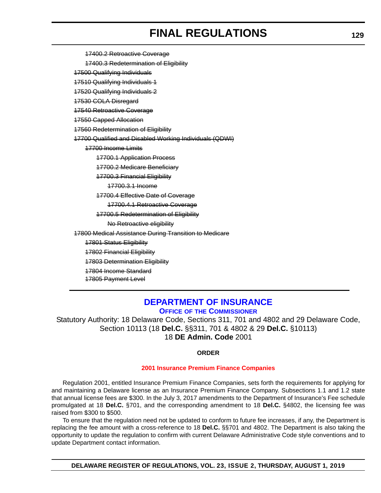<span id="page-52-0"></span>17400.2 Retroactive Coverage

17400.3 Redetermination of Eligibility

17500 Qualifying Individuals

17510 Qualifying Individuals 1

17520 Qualifying Individuals 2

17530 COLA Disregard

17540 Retroactive Coverage

17550 Capped Allocation

17560 Redetermination of Eligibility

17700 Qualified and Disabled Working Individuals (QDWI)

17700 Income Limits

17700.1 Application Process

17700.2 Medicare Beneficiary

17700.3 Financial Eligibility

17700.3.1 Income

17700.4 Effective Date of Coverage

17700.4.1 Retroactive Coverage

17700.5 Redetermination of Eligibility

No Retroactive eligibility

17800 Medical Assistance During Transition to Medicare

17801 Status Eligibility

17802 Financial Eligibility

17803 Determination Eligibility

17804 Income Standard

17805 Payment Level

### **[DEPARTMENT OF INSURANCE](https://insurance.delaware.gov/) OFFICE OF [THE COMMISSIONER](https://insurance.delaware.gov/bio/)**

Statutory Authority: 18 Delaware Code, Sections 311, 701 and 4802 and 29 Delaware Code, Section 10113 (18 **Del.C.** §§311, 701 & 4802 & 29 **Del.C.** §10113) 18 **DE Admin. Code** 2001

#### **ORDER**

#### **[2001 Insurance Premium Finance Companies](#page-4-0)**

Regulation 2001, entitled Insurance Premium Finance Companies, sets forth the requirements for applying for and maintaining a Delaware license as an Insurance Premium Finance Company. Subsections 1.1 and 1.2 state that annual license fees are \$300. In the July 3, 2017 amendments to the Department of Insurance's Fee schedule promulgated at 18 **Del.C.** §701, and the corresponding amendment to 18 **Del.C.** §4802, the licensing fee was raised from \$300 to \$500.

To ensure that the regulation need not be updated to conform to future fee increases, if any, the Department is replacing the fee amount with a cross-reference to 18 **Del.C.** §§701 and 4802. The Department is also taking the opportunity to update the regulation to confirm with current Delaware Administrative Code style conventions and to update Department contact information.

**DELAWARE REGISTER OF REGULATIONS, VOL. 23, ISSUE 2, THURSDAY, AUGUST 1, 2019**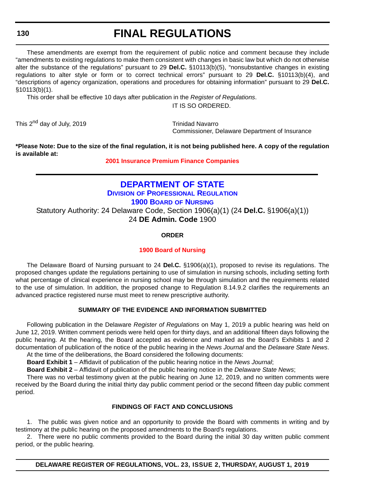#### <span id="page-53-0"></span>**130**

### **FINAL REGULATIONS**

These amendments are exempt from the requirement of public notice and comment because they include "amendments to existing regulations to make them consistent with changes in basic law but which do not otherwise alter the substance of the regulations" pursuant to 29 **Del.C.** §10113(b)(5), "nonsubstantive changes in existing regulations to alter style or form or to correct technical errors" pursuant to 29 **Del.C.** §10113(b)(4), and "descriptions of agency organization, operations and procedures for obtaining information" pursuant to 29 **Del.C.** §10113(b)(1).

This order shall be effective 10 days after publication in the *Register of Regulations*.

IT IS SO ORDERED.

This 2<sup>nd</sup> day of July, 2019 Trinidad Navarro

Commissioner, Delaware Department of Insurance

**\*Please Note: Due to the size of the final regulation, it is not being published here. A copy of the regulation is available at:**

**[2001 Insurance Premium Finance Companies](http://regulations.delaware.gov/register/august2019/final/23 DE Reg 129 08-01-19.htm)**

### **[DEPARTMENT OF STATE](https://sos.delaware.gov/) DIVISION [OF PROFESSIONAL REGULATION](https://dpr.delaware.gov/) [1900 BOARD](https://dpr.delaware.gov/boards/nursing/) OF NURSING** Statutory Authority: 24 Delaware Code, Section 1906(a)(1) (24 **Del.C.** §1906(a)(1)) 24 **DE Admin. Code** 1900

#### **ORDER**

#### **[1900 Board of Nursing](#page-4-0)**

The Delaware Board of Nursing pursuant to 24 **Del.C.** §1906(a)(1), proposed to revise its regulations. The proposed changes update the regulations pertaining to use of simulation in nursing schools, including setting forth what percentage of clinical experience in nursing school may be through simulation and the requirements related to the use of simulation. In addition, the proposed change to Regulation 8.14.9.2 clarifies the requirements an advanced practice registered nurse must meet to renew prescriptive authority.

#### **SUMMARY OF THE EVIDENCE AND INFORMATION SUBMITTED**

Following publication in the Delaware *Register of Regulations* on May 1, 2019 a public hearing was held on June 12, 2019. Written comment periods were held open for thirty days, and an additional fifteen days following the public hearing. At the hearing, the Board accepted as evidence and marked as the Board's Exhibits 1 and 2 documentation of publication of the notice of the public hearing in the *News Journal* and the *Delaware State News*. At the time of the deliberations, the Board considered the following documents:

**Board Exhibit 1** – Affidavit of publication of the public hearing notice in the *News Journal*;

**Board Exhibit 2** – Affidavit of publication of the public hearing notice in the *Delaware State News*;

There was no verbal testimony given at the public hearing on June 12, 2019, and no written comments were received by the Board during the initial thirty day public comment period or the second fifteen day public comment period.

#### **FINDINGS OF FACT AND CONCLUSIONS**

1. The public was given notice and an opportunity to provide the Board with comments in writing and by testimony at the public hearing on the proposed amendments to the Board's regulations.

2. There were no public comments provided to the Board during the initial 30 day written public comment period, or the public hearing.

**DELAWARE REGISTER OF REGULATIONS, VOL. 23, ISSUE 2, THURSDAY, AUGUST 1, 2019**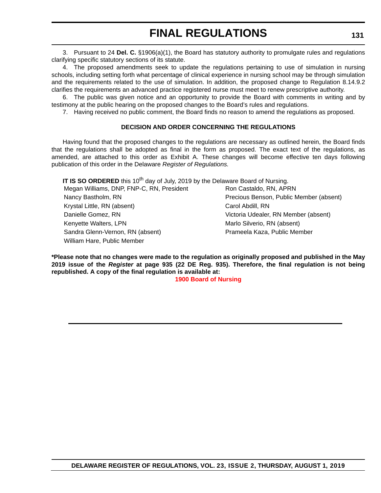3. Pursuant to 24 **Del. C.** §1906(a)(1), the Board has statutory authority to promulgate rules and regulations clarifying specific statutory sections of its statute.

4. The proposed amendments seek to update the regulations pertaining to use of simulation in nursing schools, including setting forth what percentage of clinical experience in nursing school may be through simulation and the requirements related to the use of simulation. In addition, the proposed change to Regulation 8.14.9.2 clarifies the requirements an advanced practice registered nurse must meet to renew prescriptive authority.

6. The public was given notice and an opportunity to provide the Board with comments in writing and by testimony at the public hearing on the proposed changes to the Board's rules and regulations.

7. Having received no public comment, the Board finds no reason to amend the regulations as proposed.

#### **DECISION AND ORDER CONCERNING THE REGULATIONS**

Having found that the proposed changes to the regulations are necessary as outlined herein, the Board finds that the regulations shall be adopted as final in the form as proposed. The exact text of the regulations, as amended, are attached to this order as Exhibit A. These changes will become effective ten days following publication of this order in the Delaware *Register of Regulations.*

**IT IS SO ORDERED** this 10<sup>th</sup> day of July, 2019 by the Delaware Board of Nursing.

Megan Williams, DNP, FNP-C, RN, President Ron Castaldo, RN, APRN Nancy Bastholm, RN Precious Benson, Public Member (absent) Krystal Little, RN (absent) Carol Abdill, RN Danielle Gomez, RN Victoria Udealer, RN Member (absent) Kenyette Walters, LPN Marlo Silverio, RN (absent) Sandra Glenn-Vernon, RN (absent) Prameela Kaza, Public Member William Hare, Public Member

**\*Please note that no changes were made to the regulation as originally proposed and published in the May 2019 issue of the** *Register* **at page 935 (22 DE Reg. 935). Therefore, the final regulation is not being republished. A copy of the final regulation is available at:**

**[1900 Board of Nursing](http://regulations.delaware.gov/register/august2019/final/23 DE Reg 130 08-01-19.htm)**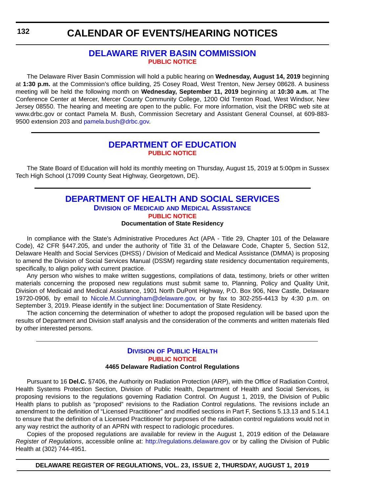### **[DELAWARE RIVER BASIN COMMISSION](https://www.state.nj.us/drbc/) [PUBLIC NOTICE](#page-4-0)**

<span id="page-55-0"></span>The Delaware River Basin Commission will hold a public hearing on **Wednesday, August 14, 2019** beginning at **1:30 p.m.** at the Commission's office building, 25 Cosey Road, West Trenton, New Jersey 08628. A business meeting will be held the following month on **Wednesday, September 11, 2019** beginning at **10:30 a.m.** at The Conference Center at Mercer, Mercer County Community College, 1200 Old Trenton Road, West Windsor, New Jersey 08550. The hearing and meeting are open to the public. For more information, visit the DRBC web site at www.drbc.gov or contact Pamela M. Bush, Commission Secretary and Assistant General Counsel, at 609-883 9500 extension 203 and [pamela.bush@drbc.gov.](mailto:pamela.bush@drbc.gov)

### **[DEPARTMENT OF EDUCATION](https://www.doe.k12.de.us/) [PUBLIC NOTICE](#page-4-0)**

The State Board of Education will hold its monthly meeting on Thursday, August 15, 2019 at 5:00pm in Sussex Tech High School (17099 County Seat Highway, Georgetown, DE).

### **[DEPARTMENT OF HEALTH AND SOCIAL SERVICES](https://www.dhss.delaware.gov/dhss/index.html) DIVISION OF MEDICAID [AND MEDICAL ASSISTANCE](https://www.dhss.delaware.gov/dhss/dmma/) [PUBLIC NOTICE](#page-4-0)**

#### **Documentation of State Residency**

In compliance with the State's Administrative Procedures Act (APA - Title 29, Chapter 101 of the Delaware Code), 42 CFR §447.205, and under the authority of Title 31 of the Delaware Code, Chapter 5, Section 512, Delaware Health and Social Services (DHSS) / Division of Medicaid and Medical Assistance (DMMA) is proposing to amend the Division of Social Services Manual (DSSM) regarding state residency documentation requirements, specifically, to align policy with current practice.

Any person who wishes to make written suggestions, compilations of data, testimony, briefs or other written materials concerning the proposed new regulations must submit same to, Planning, Policy and Quality Unit, Division of Medicaid and Medical Assistance, 1901 North DuPont Highway, P.O. Box 906, New Castle, Delaware 19720-0906, by email to [Nicole.M.Cunningham@delaware.gov,](mailto:Nicole.M.Cunningham@delaware.gov) or by fax to 302-255-4413 by 4:30 p.m. on September 3, 2019. Please identify in the subject line: Documentation of State Residency.

The action concerning the determination of whether to adopt the proposed regulation will be based upon the results of Department and Division staff analysis and the consideration of the comments and written materials filed by other interested persons.

#### **DIVISION [OF PUBLIC HEALTH](https://www.dhss.delaware.gov/dhss/dph/index.html) [PUBLIC NOTICE](#page-4-0) 4465 Delaware Radiation Control Regulations**

Pursuant to 16 **Del.C.** §7406, the Authority on Radiation Protection (ARP), with the Office of Radiation Control, Health Systems Protection Section, Division of Public Health, Department of Health and Social Services, is proposing revisions to the regulations governing Radiation Control. On August 1, 2019, the Division of Public Health plans to publish as "proposed" revisions to the Radiation Control regulations. The revisions include an amendment to the definition of "Licensed Practitioner" and modified sections in Part F, Sections 5.13.13 and 5.14.1 to ensure that the definition of a Licensed Practitioner for purposes of the radiation control regulations would not in any way restrict the authority of an APRN with respect to radiologic procedures.

Copies of the proposed regulations are available for review in the August 1, 2019 edition of the Delaware *Register of Regulations*, accessible online at: <http://regulations.delaware.gov> or by calling the Division of Public Health at (302) 744-4951.

**DELAWARE REGISTER OF REGULATIONS, VOL. 23, ISSUE 2, THURSDAY, AUGUST 1, 2019**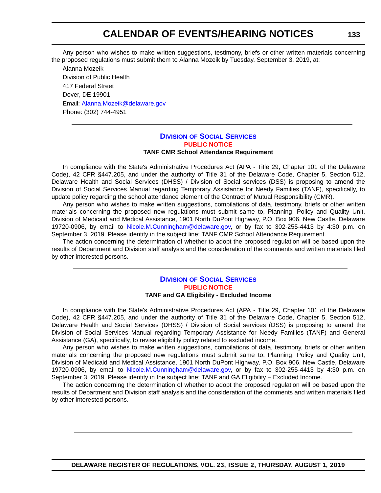Any person who wishes to make written suggestions, testimony, briefs or other written materials concerning the proposed regulations must submit them to Alanna Mozeik by Tuesday, September 3, 2019, at:

Alanna Mozeik Division of Public Health 417 Federal Street Dover, DE 19901 Email: [Alanna.Mozeik@delaware.gov](mailto:Alanna.Mozeik@delaware.gov) Phone: (302) 744-4951

#### **DIVISION [OF SOCIAL SERVICES](https://www.dhss.delaware.gov/dhss/dss/) [PUBLIC NOTICE](#page-4-0) TANF CMR School Attendance Requirement**

In compliance with the State's Administrative Procedures Act (APA - Title 29, Chapter 101 of the Delaware Code), 42 CFR §447.205, and under the authority of Title 31 of the Delaware Code, Chapter 5, Section 512, Delaware Health and Social Services (DHSS) / Division of Social services (DSS) is proposing to amend the Division of Social Services Manual regarding Temporary Assistance for Needy Families (TANF), specifically, to update policy regarding the school attendance element of the Contract of Mutual Responsibility (CMR).

Any person who wishes to make written suggestions, compilations of data, testimony, briefs or other written materials concerning the proposed new regulations must submit same to, Planning, Policy and Quality Unit, Division of Medicaid and Medical Assistance, 1901 North DuPont Highway, P.O. Box 906, New Castle, Delaware 19720-0906, by email to [Nicole.M.Cunningham@delaware.gov,](mailto:Nicole.M.Cunningham@delaware.gov) or by fax to 302-255-4413 by 4:30 p.m. on September 3, 2019. Please identify in the subject line: TANF CMR School Attendance Requirement.

The action concerning the determination of whether to adopt the proposed regulation will be based upon the results of Department and Division staff analysis and the consideration of the comments and written materials filed by other interested persons.

#### **DIVISION [OF SOCIAL SERVICES](https://www.dhss.delaware.gov/dhss/dss/) [PUBLIC NOTICE](#page-4-0) TANF and GA Eligibility - Excluded Income**

In compliance with the State's Administrative Procedures Act (APA - Title 29, Chapter 101 of the Delaware Code), 42 CFR §447.205, and under the authority of Title 31 of the Delaware Code, Chapter 5, Section 512, Delaware Health and Social Services (DHSS) / Division of Social services (DSS) is proposing to amend the Division of Social Services Manual regarding Temporary Assistance for Needy Families (TANF) and General Assistance (GA), specifically, to revise eligibility policy related to excluded income.

Any person who wishes to make written suggestions, compilations of data, testimony, briefs or other written materials concerning the proposed new regulations must submit same to, Planning, Policy and Quality Unit, Division of Medicaid and Medical Assistance, 1901 North DuPont Highway, P.O. Box 906, New Castle, Delaware 19720-0906, by email to [Nicole.M.Cunningham@delaware.gov,](mailto:Nicole.M.Cunningham@delaware.gov) or by fax to 302-255-4413 by 4:30 p.m. on September 3, 2019. Please identify in the subject line: TANF and GA Eligibility – Excluded Income.

The action concerning the determination of whether to adopt the proposed regulation will be based upon the results of Department and Division staff analysis and the consideration of the comments and written materials filed by other interested persons.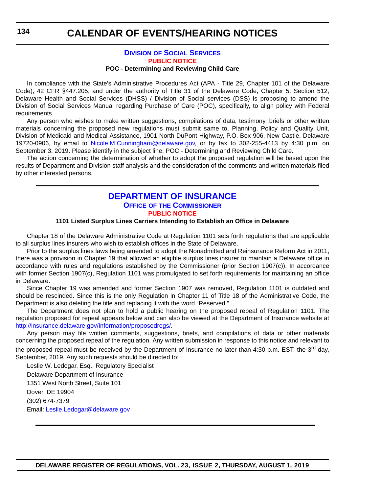#### **DIVISION [OF SOCIAL SERVICES](https://www.dhss.delaware.gov/dhss/dss/) [PUBLIC NOTICE](#page-4-0) POC - Determining and Reviewing Child Care**

<span id="page-57-0"></span>In compliance with the State's Administrative Procedures Act (APA - Title 29, Chapter 101 of the Delaware Code), 42 CFR §447.205, and under the authority of Title 31 of the Delaware Code, Chapter 5, Section 512, Delaware Health and Social Services (DHSS) / Division of Social services (DSS) is proposing to amend the Division of Social Services Manual regarding Purchase of Care (POC), specifically, to align policy with Federal requirements.

Any person who wishes to make written suggestions, compilations of data, testimony, briefs or other written materials concerning the proposed new regulations must submit same to, Planning, Policy and Quality Unit, Division of Medicaid and Medical Assistance, 1901 North DuPont Highway, P.O. Box 906, New Castle, Delaware 19720-0906, by email to [Nicole.M.Cunningham@delaware.gov,](mailto:Nicole.M.Cunningham@delaware.gov) or by fax to 302-255-4413 by 4:30 p.m. on September 3, 2019. Please identify in the subject line: POC - Determining and Reviewing Child Care.

The action concerning the determination of whether to adopt the proposed regulation will be based upon the results of Department and Division staff analysis and the consideration of the comments and written materials filed by other interested persons.

#### **[DEPARTMENT OF INSURANCE](https://insurance.delaware.gov/) OFFICE OF [THE COMMISSIONER](https://insurance.delaware.gov/bio/) [PUBLIC NOTICE](#page-4-0)**

#### **1101 Listed Surplus Lines Carriers Intending to Establish an Office in Delaware**

Chapter 18 of the Delaware Administrative Code at Regulation 1101 sets forth regulations that are applicable to all surplus lines insurers who wish to establish offices in the State of Delaware.

Prior to the surplus lines laws being amended to adopt the Nonadmitted and Reinsurance Reform Act in 2011, there was a provision in Chapter 19 that allowed an eligible surplus lines insurer to maintain a Delaware office in accordance with rules and regulations established by the Commissioner (prior Section 1907(c)). In accordance with former Section 1907(c), Regulation 1101 was promulgated to set forth requirements for maintaining an office in Delaware.

Since Chapter 19 was amended and former Section 1907 was removed, Regulation 1101 is outdated and should be rescinded. Since this is the only Regulation in Chapter 11 of Title 18 of the Administrative Code, the Department is also deleting the title and replacing it with the word "Reserved."

The Department does not plan to hold a public hearing on the proposed repeal of Regulation 1101. The regulation proposed for repeal appears below and can also be viewed at the Department of Insurance website at [http://insurance.delaware.gov/information/proposedregs/.](http://insurance.delaware.gov/information/proposedregs/)

Any person may file written comments, suggestions, briefs, and compilations of data or other materials concerning the proposed repeal of the regulation. Any written submission in response to this notice and relevant to the proposed repeal must be received by the Department of Insurance no later than 4:30 p.m. EST, the 3<sup>rd</sup> day, September, 2019. Any such requests should be directed to:

Leslie W. Ledogar, Esq., Regulatory Specialist

Delaware Department of Insurance 1351 West North Street, Suite 101 Dover, DE 19904 (302) 674-7379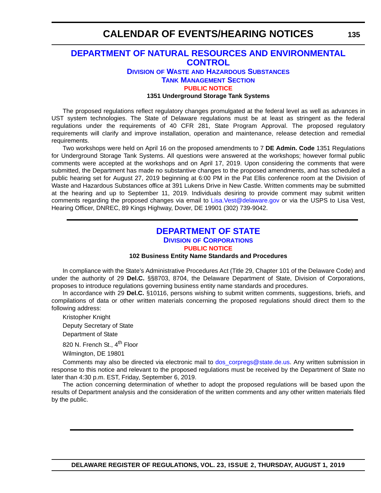### <span id="page-58-0"></span>**[DEPARTMENT OF NATURAL RESOURCES AND ENVIRONMENTAL](https://dnrec.alpha.delaware.gov/)  CONTROL**

#### **DIVISION OF WASTE [AND HAZARDOUS SUBSTANCES](https://dnrec.alpha.delaware.gov/waste-hazardous/) [TANK MANAGEMENT SECTION](https://dnrec.alpha.delaware.gov/waste-hazardous/tanks/ ) [PUBLIC NOTICE](#page-4-0)**

#### **1351 Underground Storage Tank Systems**

The proposed regulations reflect regulatory changes promulgated at the federal level as well as advances in UST system technologies. The State of Delaware regulations must be at least as stringent as the federal regulations under the requirements of 40 CFR 281, State Program Approval. The proposed regulatory requirements will clarify and improve installation, operation and maintenance, release detection and remedial requirements.

Two workshops were held on April 16 on the proposed amendments to 7 **DE Admin. Code** 1351 Regulations for Underground Storage Tank Systems. All questions were answered at the workshops; however formal public comments were accepted at the workshops and on April 17, 2019. Upon considering the comments that were submitted, the Department has made no substantive changes to the proposed amendments, and has scheduled a public hearing set for August 27, 2019 beginning at 6:00 PM in the Pat Ellis conference room at the Division of Waste and Hazardous Substances office at 391 Lukens Drive in New Castle. Written comments may be submitted at the hearing and up to September 11, 2019. Individuals desiring to provide comment may submit written comments regarding the proposed changes via email to [Lisa.Vest@delaware.gov](mailto:Lisa.Vest@delaware.gov) or via the USPS to Lisa Vest, Hearing Officer, DNREC, 89 Kings Highway, Dover, DE 19901 (302) 739-9042.

### **[DEPARTMENT OF STATE](https://sos.delaware.gov/) DIVISION [OF CORPORATIONS](https://corp.delaware.gov/) [PUBLIC NOTICE](#page-4-0)**

#### **102 Business Entity Name Standards and Procedures**

In compliance with the State's Administrative Procedures Act (Title 29, Chapter 101 of the Delaware Code) and under the authority of 29 **Del.C.** §§8703, 8704, the Delaware Department of State, Division of Corporations, proposes to introduce regulations governing business entity name standards and procedures.

In accordance with 29 **Del.C.** §10116, persons wishing to submit written comments, suggestions, briefs, and compilations of data or other written materials concerning the proposed regulations should direct them to the following address:

Kristopher Knight Deputy Secretary of State Department of State

820 N. French St., 4<sup>th</sup> Floor

Wilmington, DE 19801

Comments may also be directed via electronic mail to [dos\\_corpregs@state.de.us.](mailto:dos_corpregs@state.de.us) Any written submission in response to this notice and relevant to the proposed regulations must be received by the Department of State no later than 4:30 p.m. EST, Friday, September 6, 2019.

The action concerning determination of whether to adopt the proposed regulations will be based upon the results of Department analysis and the consideration of the written comments and any other written materials filed by the public.